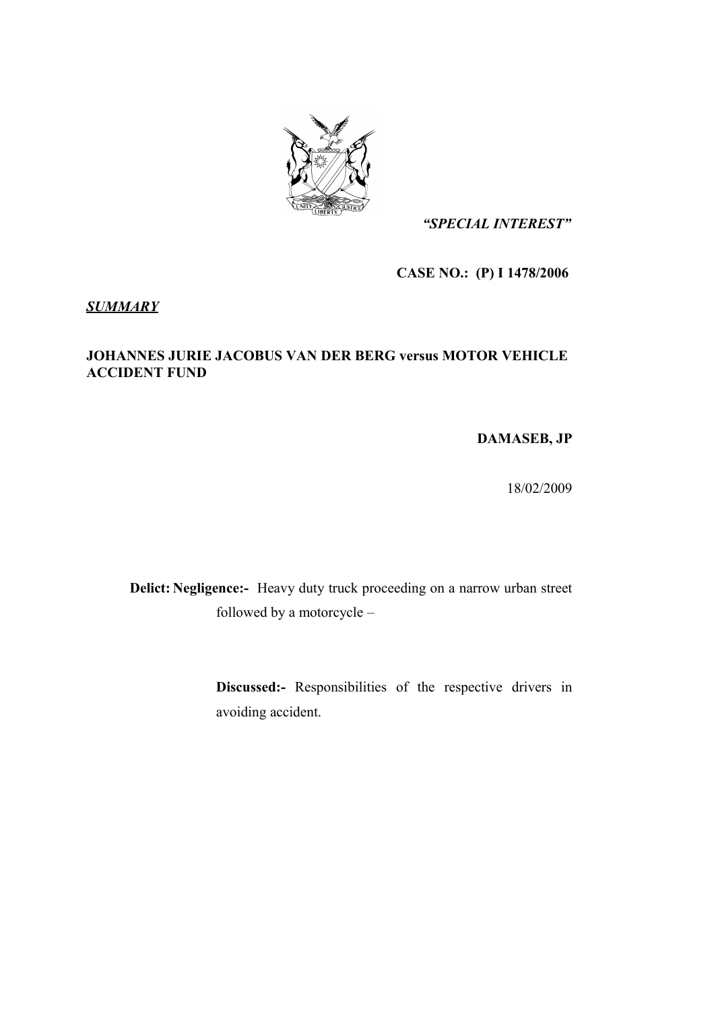

*"SPECIAL INTEREST"*

**CASE NO.: (P) I 1478/2006** 

*SUMMARY*

### **JOHANNES JURIE JACOBUS VAN DER BERG versus MOTOR VEHICLE ACCIDENT FUND**

**DAMASEB, JP**

18/02/2009

**Delict: Negligence:-** Heavy duty truck proceeding on a narrow urban street followed by a motorcycle –

> **Discussed:-** Responsibilities of the respective drivers in avoiding accident.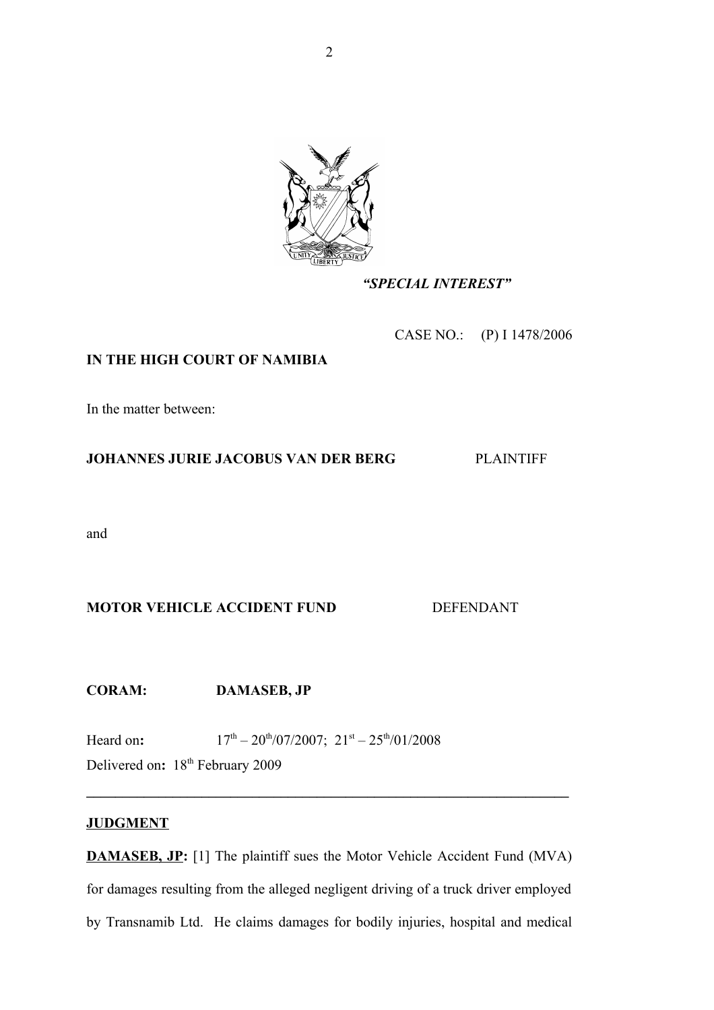

### *"SPECIAL INTEREST"*

CASE NO.: (P) I 1478/2006

### **IN THE HIGH COURT OF NAMIBIA**

In the matter between:

### **JOHANNES JURIE JACOBUS VAN DER BERG** PLAINTIFF

and

## **MOTOR VEHICLE ACCIDENT FUND DEFENDANT**

**CORAM: DAMASEB, JP**

Heard on:  $17^{\text{th}} - 20^{\text{th}}/07/2007$ ;  $21^{\text{st}} - 25^{\text{th}}/01/2008$ 

Delivered on: 18<sup>th</sup> February 2009

### **JUDGMENT**

**DAMASEB, JP:** [1] The plaintiff sues the Motor Vehicle Accident Fund (MVA) for damages resulting from the alleged negligent driving of a truck driver employed by Transnamib Ltd. He claims damages for bodily injuries, hospital and medical

**\_\_\_\_\_\_\_\_\_\_\_\_\_\_\_\_\_\_\_\_\_\_\_\_\_\_\_\_\_\_\_\_\_\_\_\_\_\_\_\_\_\_\_\_\_\_\_\_\_\_\_\_\_\_\_\_\_\_\_\_\_\_\_\_\_\_\_**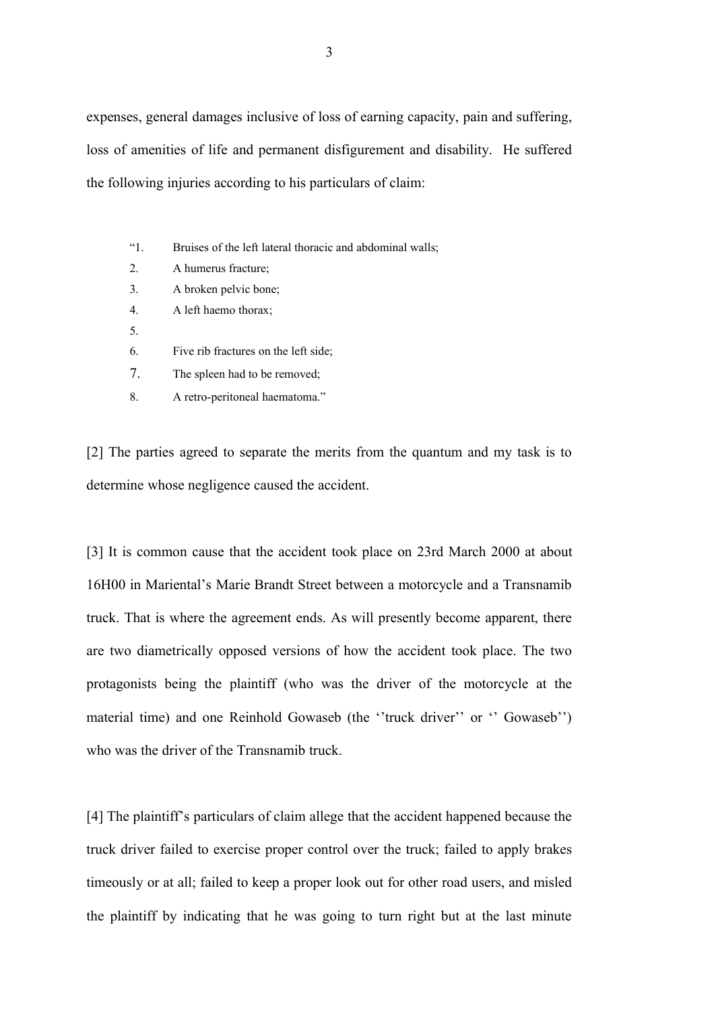expenses, general damages inclusive of loss of earning capacity, pain and suffering, loss of amenities of life and permanent disfigurement and disability. He suffered the following injuries according to his particulars of claim:

- "1. Bruises of the left lateral thoracic and abdominal walls;
- 2. A humerus fracture;
- 3. A broken pelvic bone;
- 4. A left haemo thorax;
- 5.
- 6. Five rib fractures on the left side;
- 7. The spleen had to be removed;
- 8. A retro-peritoneal haematoma."

[2] The parties agreed to separate the merits from the quantum and my task is to determine whose negligence caused the accident.

[3] It is common cause that the accident took place on 23rd March 2000 at about 16H00 in Mariental's Marie Brandt Street between a motorcycle and a Transnamib truck. That is where the agreement ends. As will presently become apparent, there are two diametrically opposed versions of how the accident took place. The two protagonists being the plaintiff (who was the driver of the motorcycle at the material time) and one Reinhold Gowaseb (the "truck driver" or " Gowaseb") who was the driver of the Transnamib truck.

[4] The plaintiff's particulars of claim allege that the accident happened because the truck driver failed to exercise proper control over the truck; failed to apply brakes timeously or at all; failed to keep a proper look out for other road users, and misled the plaintiff by indicating that he was going to turn right but at the last minute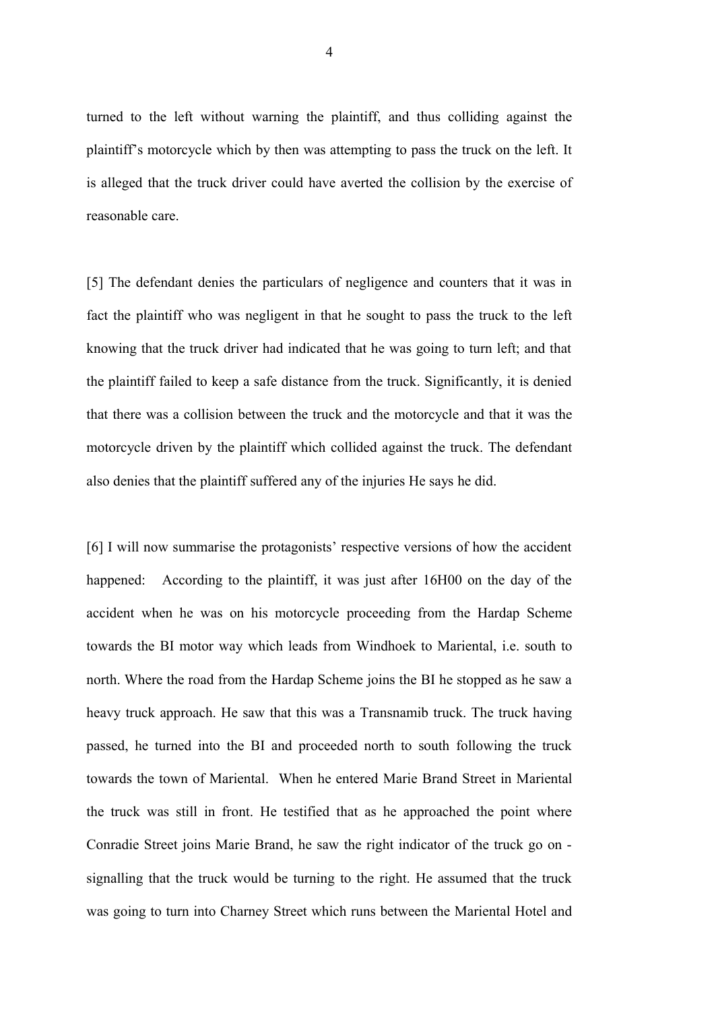turned to the left without warning the plaintiff, and thus colliding against the plaintiff's motorcycle which by then was attempting to pass the truck on the left. It is alleged that the truck driver could have averted the collision by the exercise of reasonable care.

[5] The defendant denies the particulars of negligence and counters that it was in fact the plaintiff who was negligent in that he sought to pass the truck to the left knowing that the truck driver had indicated that he was going to turn left; and that the plaintiff failed to keep a safe distance from the truck. Significantly, it is denied that there was a collision between the truck and the motorcycle and that it was the motorcycle driven by the plaintiff which collided against the truck. The defendant also denies that the plaintiff suffered any of the injuries He says he did.

[6] I will now summarise the protagonists' respective versions of how the accident happened: According to the plaintiff, it was just after 16H00 on the day of the accident when he was on his motorcycle proceeding from the Hardap Scheme towards the BI motor way which leads from Windhoek to Mariental, i.e. south to north. Where the road from the Hardap Scheme joins the BI he stopped as he saw a heavy truck approach. He saw that this was a Transnamib truck. The truck having passed, he turned into the BI and proceeded north to south following the truck towards the town of Mariental. When he entered Marie Brand Street in Mariental the truck was still in front. He testified that as he approached the point where Conradie Street joins Marie Brand, he saw the right indicator of the truck go on signalling that the truck would be turning to the right. He assumed that the truck was going to turn into Charney Street which runs between the Mariental Hotel and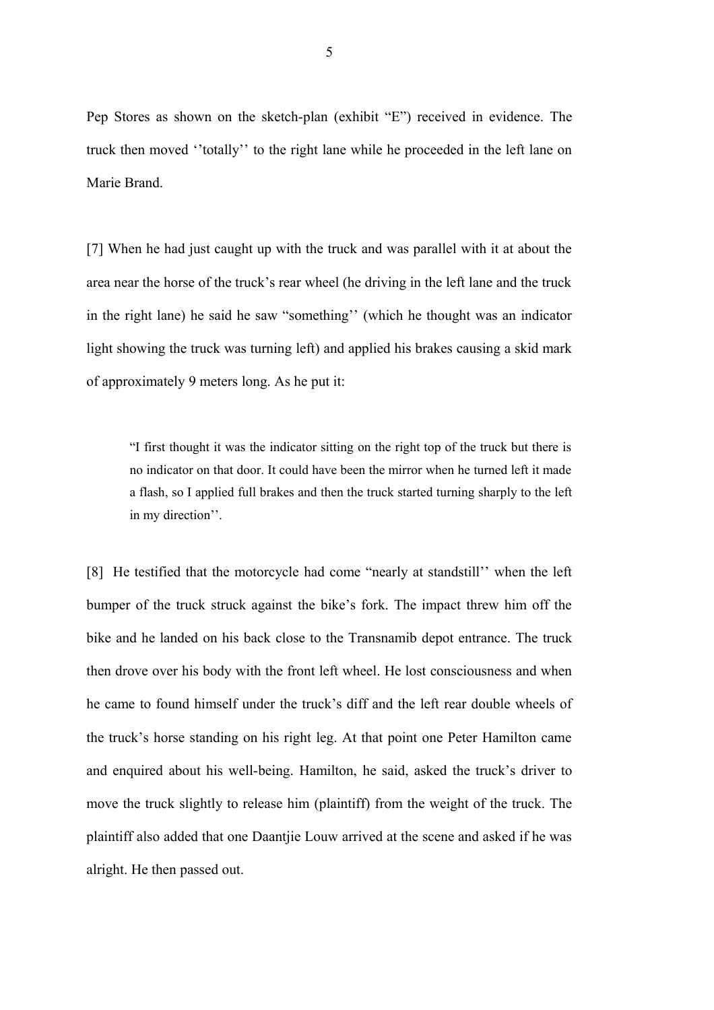Pep Stores as shown on the sketch-plan (exhibit "E") received in evidence. The truck then moved ''totally'' to the right lane while he proceeded in the left lane on Marie Brand.

[7] When he had just caught up with the truck and was parallel with it at about the area near the horse of the truck's rear wheel (he driving in the left lane and the truck in the right lane) he said he saw "something'' (which he thought was an indicator light showing the truck was turning left) and applied his brakes causing a skid mark of approximately 9 meters long. As he put it:

"I first thought it was the indicator sitting on the right top of the truck but there is no indicator on that door. It could have been the mirror when he turned left it made a flash, so I applied full brakes and then the truck started turning sharply to the left in my direction''.

[8] He testified that the motorcycle had come "nearly at standstill'' when the left bumper of the truck struck against the bike's fork. The impact threw him off the bike and he landed on his back close to the Transnamib depot entrance. The truck then drove over his body with the front left wheel. He lost consciousness and when he came to found himself under the truck's diff and the left rear double wheels of the truck's horse standing on his right leg. At that point one Peter Hamilton came and enquired about his well-being. Hamilton, he said, asked the truck's driver to move the truck slightly to release him (plaintiff) from the weight of the truck. The plaintiff also added that one Daantjie Louw arrived at the scene and asked if he was alright. He then passed out.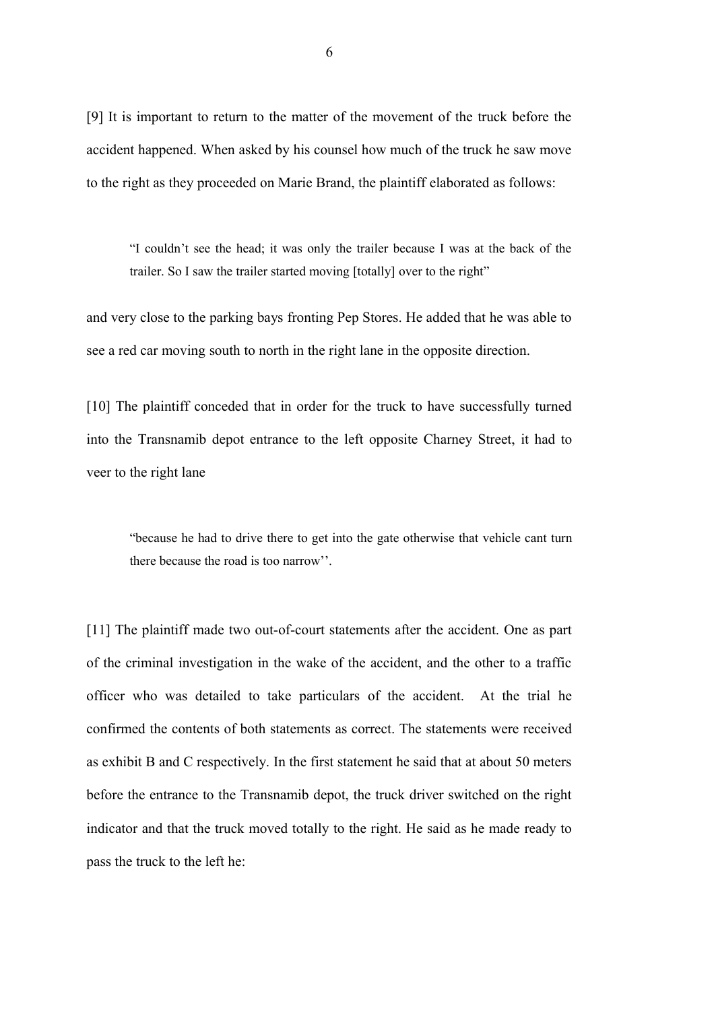[9] It is important to return to the matter of the movement of the truck before the accident happened. When asked by his counsel how much of the truck he saw move to the right as they proceeded on Marie Brand, the plaintiff elaborated as follows:

"I couldn't see the head; it was only the trailer because I was at the back of the trailer. So I saw the trailer started moving [totally] over to the right"

and very close to the parking bays fronting Pep Stores. He added that he was able to see a red car moving south to north in the right lane in the opposite direction.

[10] The plaintiff conceded that in order for the truck to have successfully turned into the Transnamib depot entrance to the left opposite Charney Street, it had to veer to the right lane

"because he had to drive there to get into the gate otherwise that vehicle cant turn there because the road is too narrow''.

[11] The plaintiff made two out-of-court statements after the accident. One as part of the criminal investigation in the wake of the accident, and the other to a traffic officer who was detailed to take particulars of the accident. At the trial he confirmed the contents of both statements as correct. The statements were received as exhibit B and C respectively. In the first statement he said that at about 50 meters before the entrance to the Transnamib depot, the truck driver switched on the right indicator and that the truck moved totally to the right. He said as he made ready to pass the truck to the left he: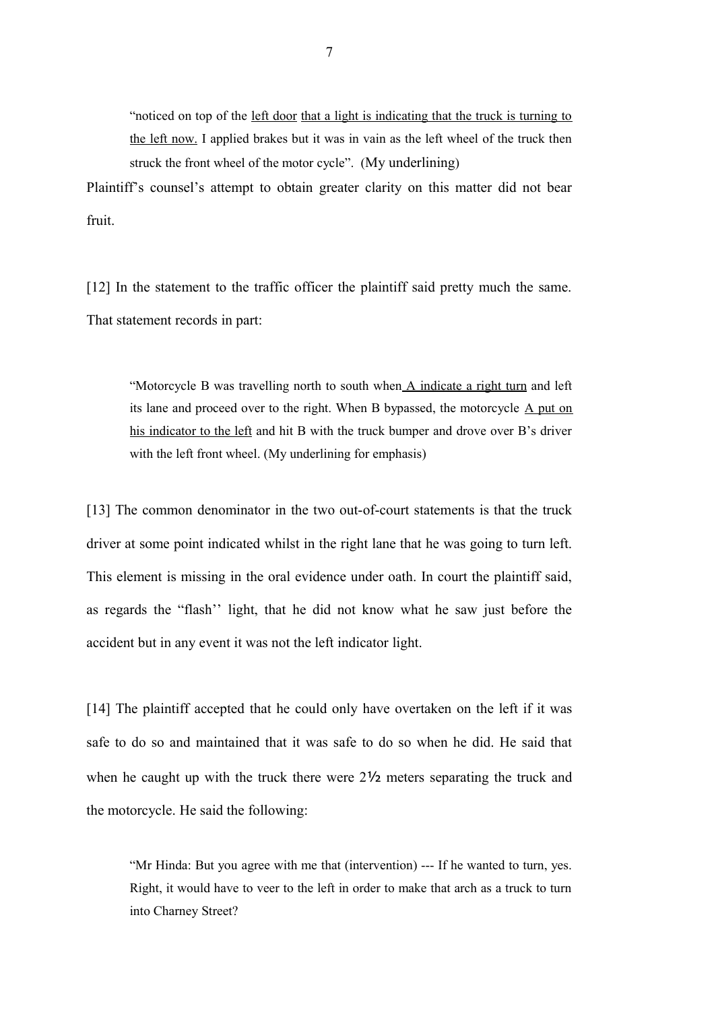"noticed on top of the left door that a light is indicating that the truck is turning to the left now. I applied brakes but it was in vain as the left wheel of the truck then struck the front wheel of the motor cycle". (My underlining)

Plaintiff's counsel's attempt to obtain greater clarity on this matter did not bear fruit.

[12] In the statement to the traffic officer the plaintiff said pretty much the same. That statement records in part:

"Motorcycle B was travelling north to south when A indicate a right turn and left its lane and proceed over to the right. When B bypassed, the motorcycle A put on his indicator to the left and hit B with the truck bumper and drove over B's driver with the left front wheel. (My underlining for emphasis)

[13] The common denominator in the two out-of-court statements is that the truck driver at some point indicated whilst in the right lane that he was going to turn left. This element is missing in the oral evidence under oath. In court the plaintiff said, as regards the "flash'' light, that he did not know what he saw just before the accident but in any event it was not the left indicator light.

[14] The plaintiff accepted that he could only have overtaken on the left if it was safe to do so and maintained that it was safe to do so when he did. He said that when he caught up with the truck there were 2½ meters separating the truck and the motorcycle. He said the following:

"Mr Hinda: But you agree with me that (intervention) --- If he wanted to turn, yes. Right, it would have to veer to the left in order to make that arch as a truck to turn into Charney Street?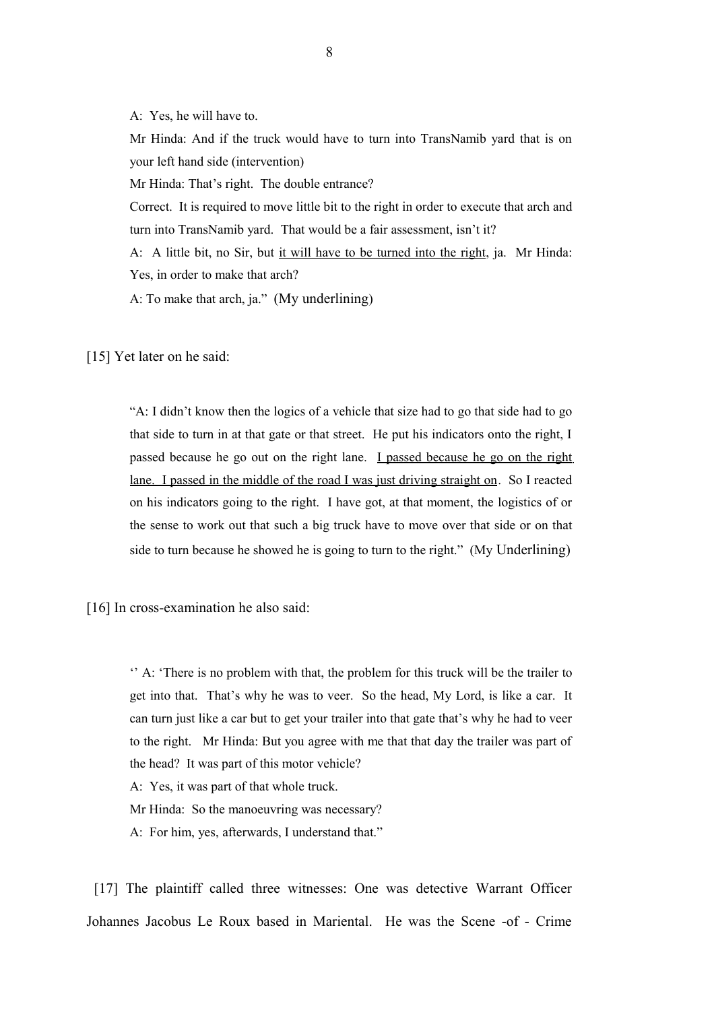A: Yes, he will have to.

Mr Hinda: And if the truck would have to turn into TransNamib yard that is on your left hand side (intervention)

Mr Hinda: That's right. The double entrance?

Correct. It is required to move little bit to the right in order to execute that arch and turn into TransNamib yard. That would be a fair assessment, isn't it?

A: A little bit, no Sir, but it will have to be turned into the right, ja. Mr Hinda: Yes, in order to make that arch?

A: To make that arch, ja." (My underlining)

[15] Yet later on he said:

"A: I didn't know then the logics of a vehicle that size had to go that side had to go that side to turn in at that gate or that street. He put his indicators onto the right, I passed because he go out on the right lane. I passed because he go on the right lane. I passed in the middle of the road I was just driving straight on. So I reacted on his indicators going to the right. I have got, at that moment, the logistics of or the sense to work out that such a big truck have to move over that side or on that side to turn because he showed he is going to turn to the right." (My Underlining)

[16] In cross-examination he also said:

'' A: 'There is no problem with that, the problem for this truck will be the trailer to get into that. That's why he was to veer. So the head, My Lord, is like a car. It can turn just like a car but to get your trailer into that gate that's why he had to veer to the right. Mr Hinda: But you agree with me that that day the trailer was part of the head? It was part of this motor vehicle?

A: Yes, it was part of that whole truck.

Mr Hinda: So the manoeuvring was necessary?

A: For him, yes, afterwards, I understand that."

 [17] The plaintiff called three witnesses: One was detective Warrant Officer Johannes Jacobus Le Roux based in Mariental. He was the Scene -of - Crime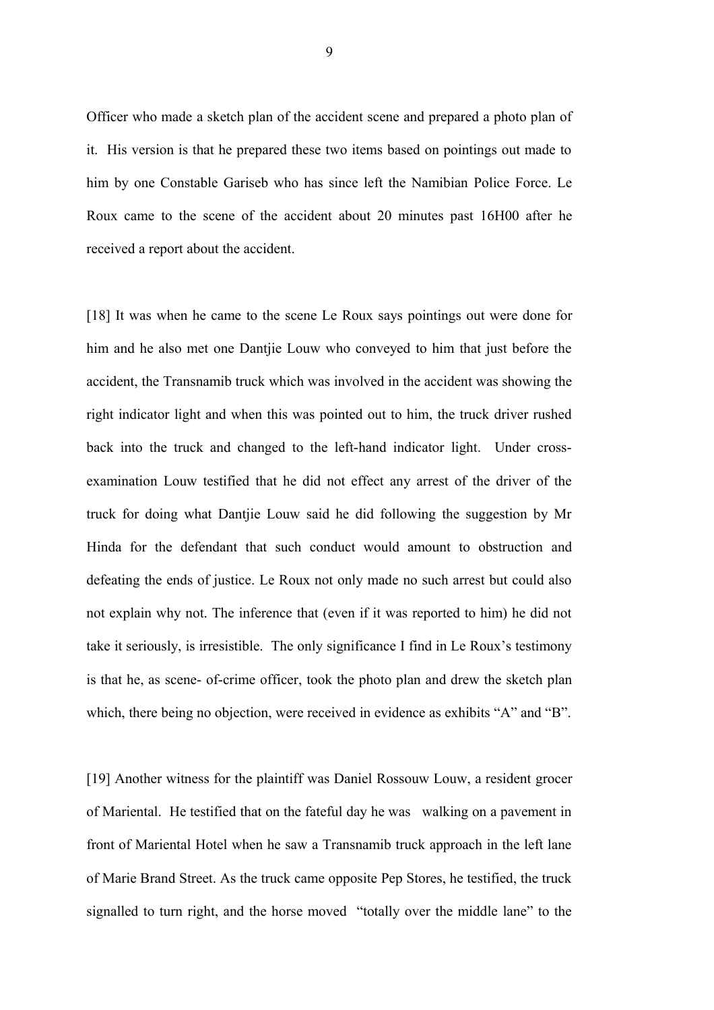Officer who made a sketch plan of the accident scene and prepared a photo plan of it. His version is that he prepared these two items based on pointings out made to him by one Constable Gariseb who has since left the Namibian Police Force. Le Roux came to the scene of the accident about 20 minutes past 16H00 after he received a report about the accident.

[18] It was when he came to the scene Le Roux says pointings out were done for him and he also met one Dantjie Louw who conveyed to him that just before the accident, the Transnamib truck which was involved in the accident was showing the right indicator light and when this was pointed out to him, the truck driver rushed back into the truck and changed to the left-hand indicator light. Under crossexamination Louw testified that he did not effect any arrest of the driver of the truck for doing what Dantjie Louw said he did following the suggestion by Mr Hinda for the defendant that such conduct would amount to obstruction and defeating the ends of justice. Le Roux not only made no such arrest but could also not explain why not. The inference that (even if it was reported to him) he did not take it seriously, is irresistible. The only significance I find in Le Roux's testimony is that he, as scene- of-crime officer, took the photo plan and drew the sketch plan which, there being no objection, were received in evidence as exhibits "A" and "B".

[19] Another witness for the plaintiff was Daniel Rossouw Louw, a resident grocer of Mariental. He testified that on the fateful day he was walking on a pavement in front of Mariental Hotel when he saw a Transnamib truck approach in the left lane of Marie Brand Street. As the truck came opposite Pep Stores, he testified, the truck signalled to turn right, and the horse moved "totally over the middle lane" to the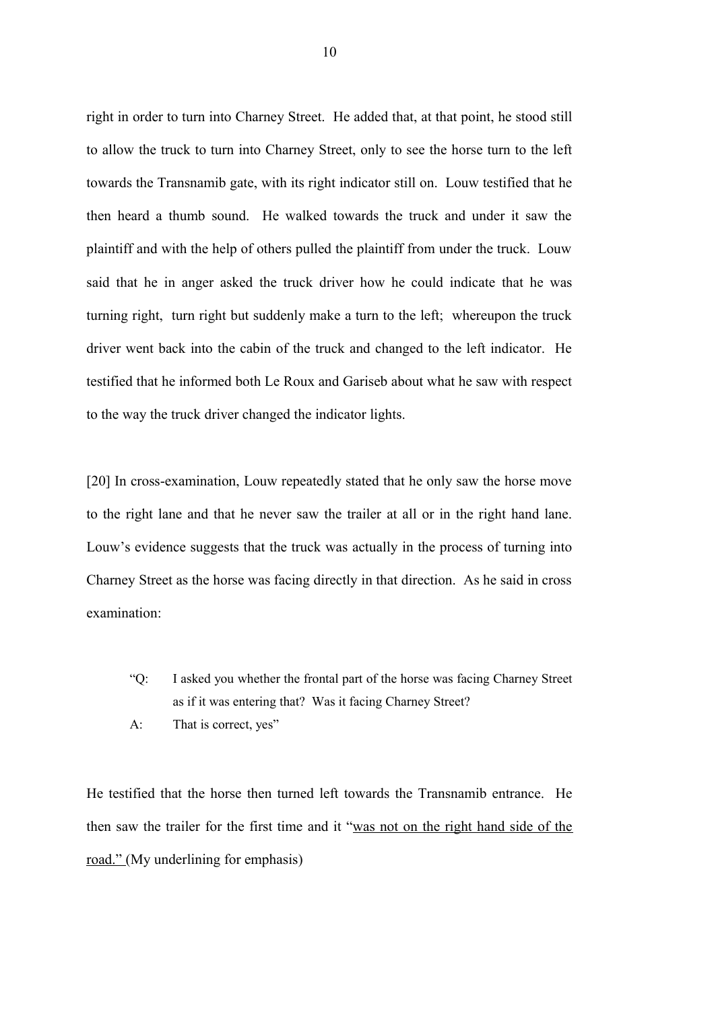right in order to turn into Charney Street. He added that, at that point, he stood still to allow the truck to turn into Charney Street, only to see the horse turn to the left towards the Transnamib gate, with its right indicator still on. Louw testified that he then heard a thumb sound. He walked towards the truck and under it saw the plaintiff and with the help of others pulled the plaintiff from under the truck. Louw said that he in anger asked the truck driver how he could indicate that he was turning right, turn right but suddenly make a turn to the left; whereupon the truck driver went back into the cabin of the truck and changed to the left indicator. He testified that he informed both Le Roux and Gariseb about what he saw with respect to the way the truck driver changed the indicator lights.

[20] In cross-examination, Louw repeatedly stated that he only saw the horse move to the right lane and that he never saw the trailer at all or in the right hand lane. Louw's evidence suggests that the truck was actually in the process of turning into Charney Street as the horse was facing directly in that direction. As he said in cross examination:

- "Q: I asked you whether the frontal part of the horse was facing Charney Street as if it was entering that? Was it facing Charney Street?
- A: That is correct, yes"

He testified that the horse then turned left towards the Transnamib entrance. He then saw the trailer for the first time and it "was not on the right hand side of the road." (My underlining for emphasis)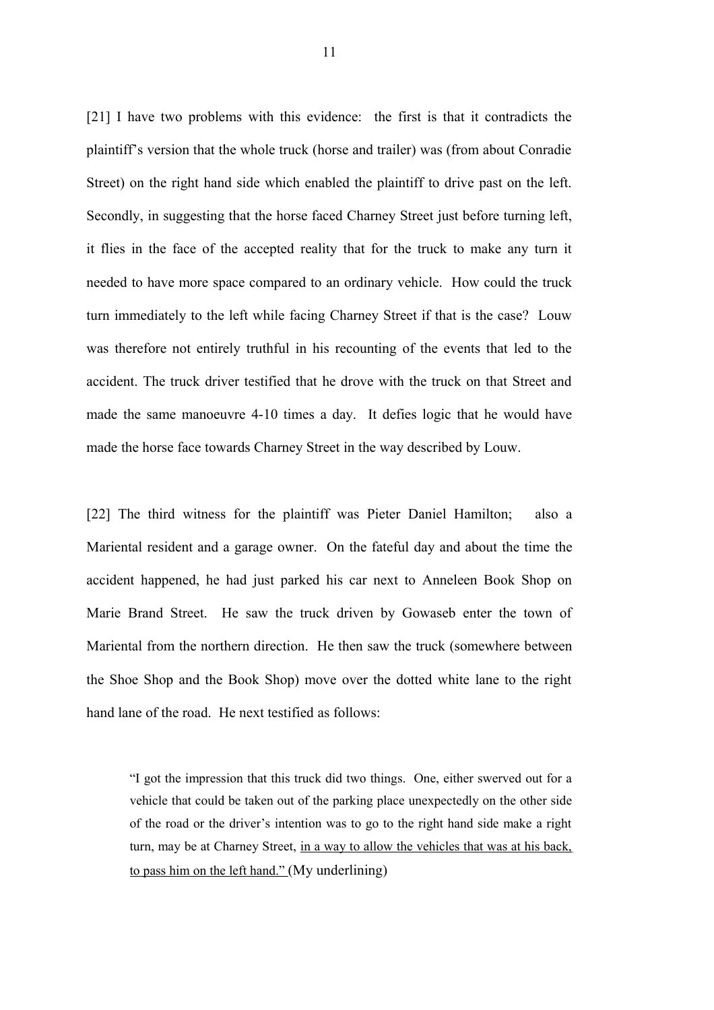[21] I have two problems with this evidence: the first is that it contradicts the plaintiff's version that the whole truck (horse and trailer) was (from about Conradie Street) on the right hand side which enabled the plaintiff to drive past on the left. Secondly, in suggesting that the horse faced Charney Street just before turning left, it flies in the face of the accepted reality that for the truck to make any turn it needed to have more space compared to an ordinary vehicle. How could the truck turn immediately to the left while facing Charney Street if that is the case? Louw was therefore not entirely truthful in his recounting of the events that led to the accident. The truck driver testified that he drove with the truck on that Street and made the same manoeuvre 4-10 times a day. It defies logic that he would have made the horse face towards Charney Street in the way described by Louw.

[22] The third witness for the plaintiff was Pieter Daniel Hamilton; also a Mariental resident and a garage owner. On the fateful day and about the time the accident happened, he had just parked his car next to Anneleen Book Shop on Marie Brand Street. He saw the truck driven by Gowaseb enter the town of Mariental from the northern direction. He then saw the truck (somewhere between the Shoe Shop and the Book Shop) move over the dotted white lane to the right hand lane of the road. He next testified as follows:

"I got the impression that this truck did two things. One, either swerved out for a vehicle that could be taken out of the parking place unexpectedly on the other side of the road or the driver's intention was to go to the right hand side make a right turn, may be at Charney Street, in a way to allow the vehicles that was at his back, to pass him on the left hand." (My underlining)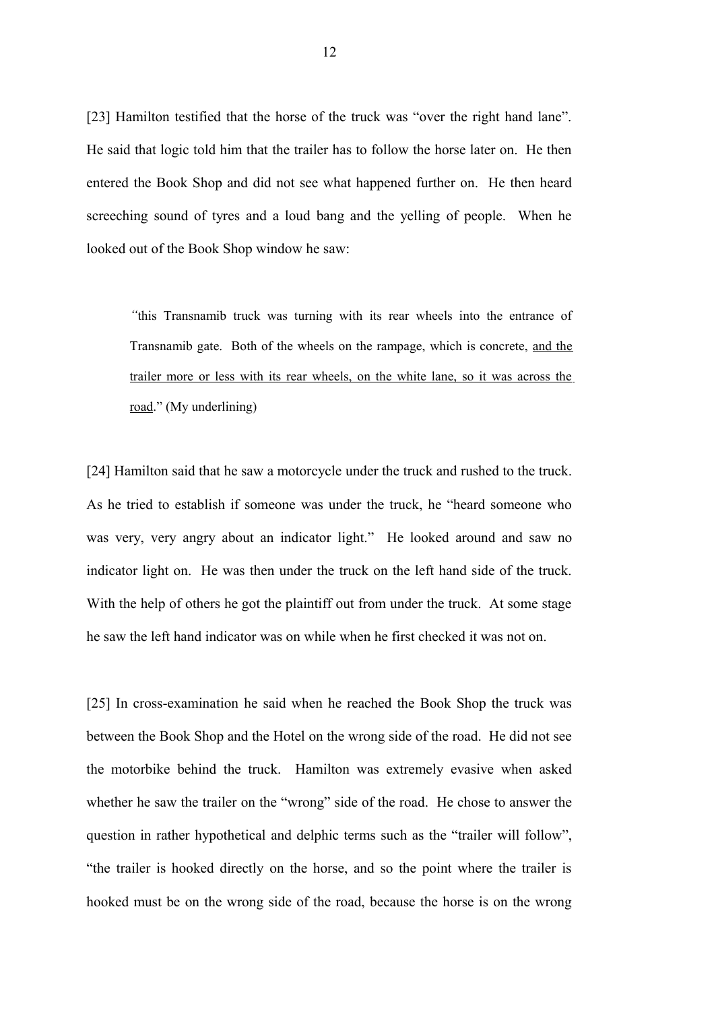[23] Hamilton testified that the horse of the truck was "over the right hand lane". He said that logic told him that the trailer has to follow the horse later on. He then entered the Book Shop and did not see what happened further on. He then heard screeching sound of tyres and a loud bang and the yelling of people. When he looked out of the Book Shop window he saw:

*"*this Transnamib truck was turning with its rear wheels into the entrance of Transnamib gate. Both of the wheels on the rampage, which is concrete, and the trailer more or less with its rear wheels, on the white lane, so it was across the road." (My underlining)

[24] Hamilton said that he saw a motorcycle under the truck and rushed to the truck. As he tried to establish if someone was under the truck, he "heard someone who was very, very angry about an indicator light."He looked around and saw no indicator light on. He was then under the truck on the left hand side of the truck. With the help of others he got the plaintiff out from under the truck. At some stage he saw the left hand indicator was on while when he first checked it was not on.

[25] In cross-examination he said when he reached the Book Shop the truck was between the Book Shop and the Hotel on the wrong side of the road. He did not see the motorbike behind the truck. Hamilton was extremely evasive when asked whether he saw the trailer on the "wrong" side of the road. He chose to answer the question in rather hypothetical and delphic terms such as the "trailer will follow", "the trailer is hooked directly on the horse, and so the point where the trailer is hooked must be on the wrong side of the road, because the horse is on the wrong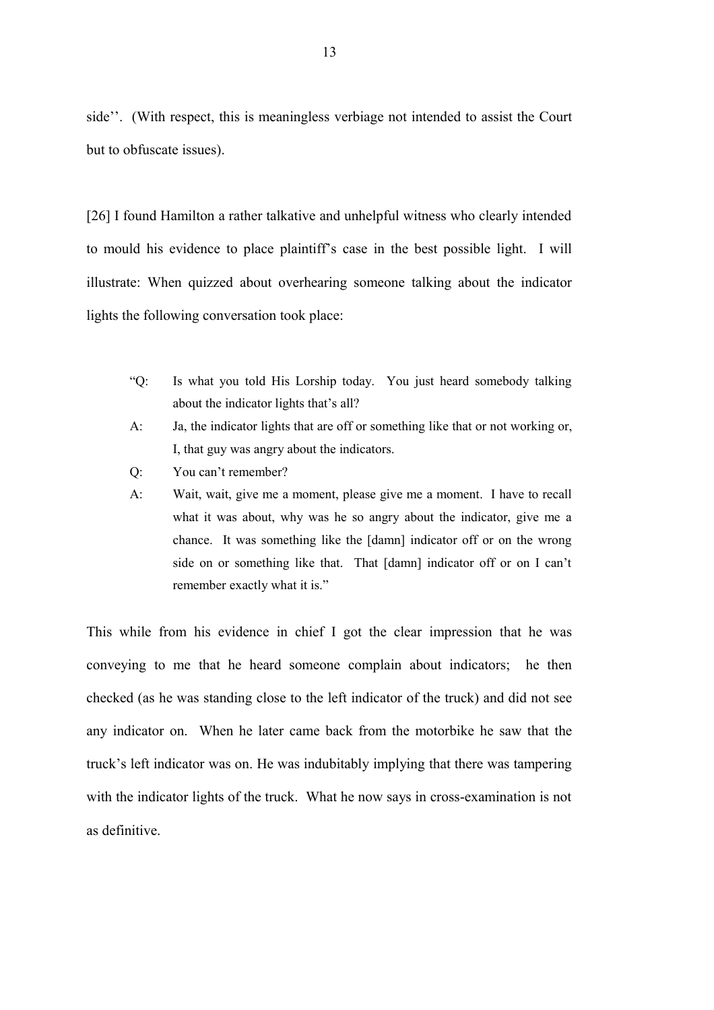side''. (With respect, this is meaningless verbiage not intended to assist the Court but to obfuscate issues).

[26] I found Hamilton a rather talkative and unhelpful witness who clearly intended to mould his evidence to place plaintiff's case in the best possible light. I will illustrate: When quizzed about overhearing someone talking about the indicator lights the following conversation took place:

- "Q: Is what you told His Lorship today. You just heard somebody talking about the indicator lights that's all?
- A: Ja, the indicator lights that are off or something like that or not working or, I, that guy was angry about the indicators.
- Q: You can't remember?
- A: Wait, wait, give me a moment, please give me a moment. I have to recall what it was about, why was he so angry about the indicator, give me a chance. It was something like the [damn] indicator off or on the wrong side on or something like that. That [damn] indicator off or on I can't remember exactly what it is."

This while from his evidence in chief I got the clear impression that he was conveying to me that he heard someone complain about indicators; he then checked (as he was standing close to the left indicator of the truck) and did not see any indicator on. When he later came back from the motorbike he saw that the truck's left indicator was on. He was indubitably implying that there was tampering with the indicator lights of the truck. What he now says in cross-examination is not as definitive.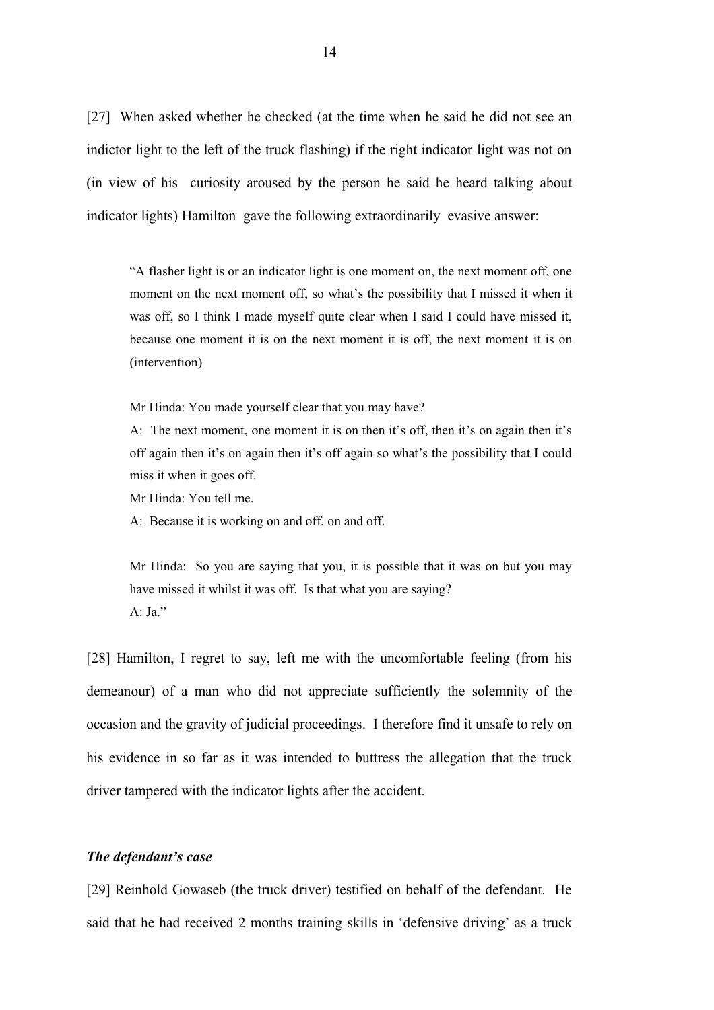[27] When asked whether he checked (at the time when he said he did not see an indictor light to the left of the truck flashing) if the right indicator light was not on (in view of his curiosity aroused by the person he said he heard talking about indicator lights) Hamilton gave the following extraordinarily evasive answer:

"A flasher light is or an indicator light is one moment on, the next moment off, one moment on the next moment off, so what's the possibility that I missed it when it was off, so I think I made myself quite clear when I said I could have missed it, because one moment it is on the next moment it is off, the next moment it is on (intervention)

Mr Hinda: You made yourself clear that you may have?

A: The next moment, one moment it is on then it's off, then it's on again then it's off again then it's on again then it's off again so what's the possibility that I could miss it when it goes off.

Mr Hinda: You tell me.

A: Because it is working on and off, on and off.

Mr Hinda: So you are saying that you, it is possible that it was on but you may have missed it whilst it was off. Is that what you are saying?  $A \cdot Ia$ "

[28] Hamilton, I regret to say, left me with the uncomfortable feeling (from his demeanour) of a man who did not appreciate sufficiently the solemnity of the occasion and the gravity of judicial proceedings. I therefore find it unsafe to rely on his evidence in so far as it was intended to buttress the allegation that the truck driver tampered with the indicator lights after the accident.

#### *The defendant's case*

[29] Reinhold Gowaseb (the truck driver) testified on behalf of the defendant. He said that he had received 2 months training skills in 'defensive driving' as a truck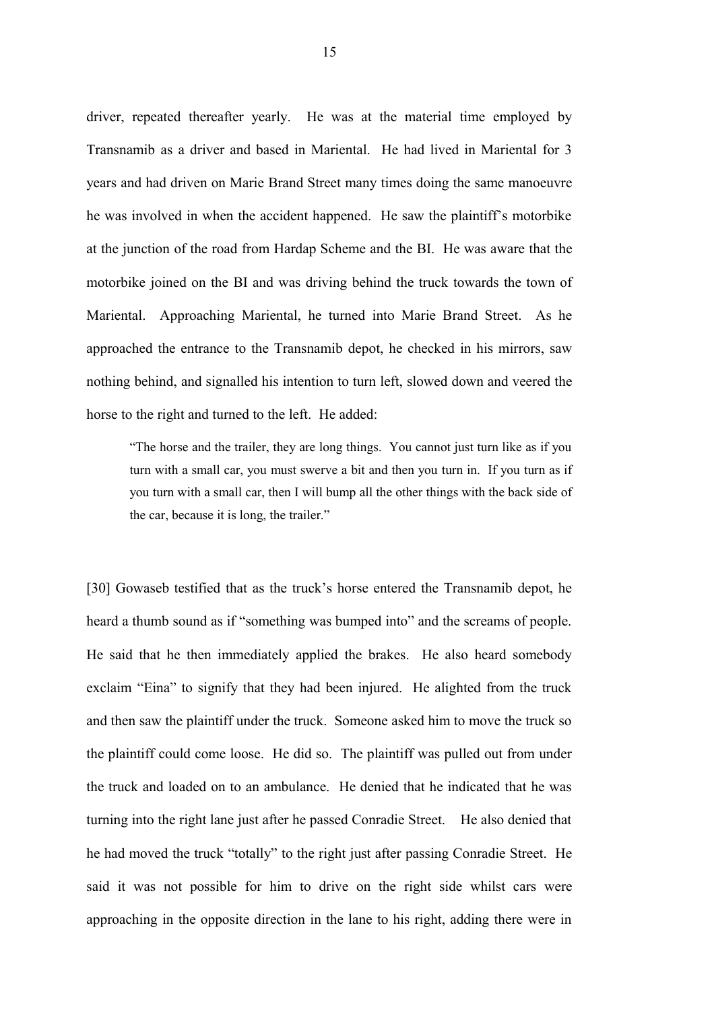driver, repeated thereafter yearly. He was at the material time employed by Transnamib as a driver and based in Mariental. He had lived in Mariental for 3 years and had driven on Marie Brand Street many times doing the same manoeuvre he was involved in when the accident happened. He saw the plaintiff's motorbike at the junction of the road from Hardap Scheme and the BI. He was aware that the motorbike joined on the BI and was driving behind the truck towards the town of Mariental. Approaching Mariental, he turned into Marie Brand Street. As he approached the entrance to the Transnamib depot, he checked in his mirrors, saw nothing behind, and signalled his intention to turn left, slowed down and veered the horse to the right and turned to the left. He added:

"The horse and the trailer, they are long things. You cannot just turn like as if you turn with a small car, you must swerve a bit and then you turn in. If you turn as if you turn with a small car, then I will bump all the other things with the back side of the car, because it is long, the trailer."

[30] Gowaseb testified that as the truck's horse entered the Transnamib depot, he heard a thumb sound as if "something was bumped into" and the screams of people. He said that he then immediately applied the brakes. He also heard somebody exclaim "Eina" to signify that they had been injured. He alighted from the truck and then saw the plaintiff under the truck. Someone asked him to move the truck so the plaintiff could come loose. He did so. The plaintiff was pulled out from under the truck and loaded on to an ambulance. He denied that he indicated that he was turning into the right lane just after he passed Conradie Street. He also denied that he had moved the truck "totally" to the right just after passing Conradie Street. He said it was not possible for him to drive on the right side whilst cars were approaching in the opposite direction in the lane to his right, adding there were in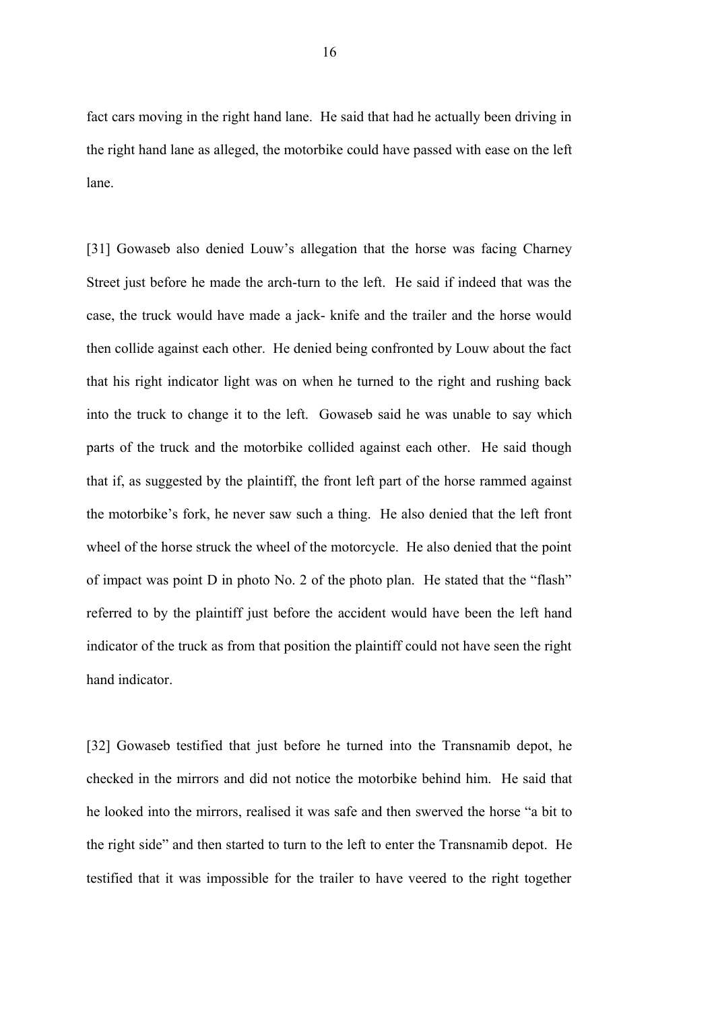fact cars moving in the right hand lane. He said that had he actually been driving in the right hand lane as alleged, the motorbike could have passed with ease on the left lane.

[31] Gowaseb also denied Louw's allegation that the horse was facing Charney Street just before he made the arch-turn to the left. He said if indeed that was the case, the truck would have made a jack- knife and the trailer and the horse would then collide against each other. He denied being confronted by Louw about the fact that his right indicator light was on when he turned to the right and rushing back into the truck to change it to the left. Gowaseb said he was unable to say which parts of the truck and the motorbike collided against each other. He said though that if, as suggested by the plaintiff, the front left part of the horse rammed against the motorbike's fork, he never saw such a thing. He also denied that the left front wheel of the horse struck the wheel of the motorcycle. He also denied that the point of impact was point D in photo No. 2 of the photo plan. He stated that the "flash" referred to by the plaintiff just before the accident would have been the left hand indicator of the truck as from that position the plaintiff could not have seen the right hand indicator.

[32] Gowaseb testified that just before he turned into the Transnamib depot, he checked in the mirrors and did not notice the motorbike behind him. He said that he looked into the mirrors, realised it was safe and then swerved the horse "a bit to the right side" and then started to turn to the left to enter the Transnamib depot. He testified that it was impossible for the trailer to have veered to the right together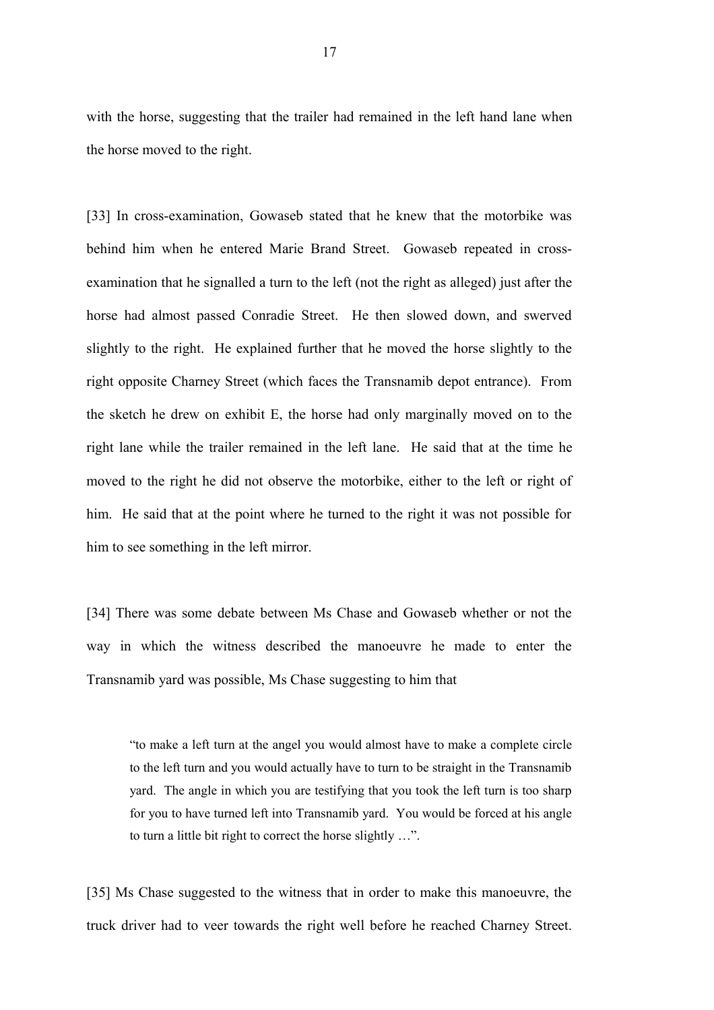with the horse, suggesting that the trailer had remained in the left hand lane when the horse moved to the right.

[33] In cross-examination, Gowaseb stated that he knew that the motorbike was behind him when he entered Marie Brand Street. Gowaseb repeated in crossexamination that he signalled a turn to the left (not the right as alleged) just after the horse had almost passed Conradie Street. He then slowed down, and swerved slightly to the right. He explained further that he moved the horse slightly to the right opposite Charney Street (which faces the Transnamib depot entrance). From the sketch he drew on exhibit E, the horse had only marginally moved on to the right lane while the trailer remained in the left lane. He said that at the time he moved to the right he did not observe the motorbike, either to the left or right of him. He said that at the point where he turned to the right it was not possible for him to see something in the left mirror.

[34] There was some debate between Ms Chase and Gowaseb whether or not the way in which the witness described the manoeuvre he made to enter the Transnamib yard was possible, Ms Chase suggesting to him that

"to make a left turn at the angel you would almost have to make a complete circle to the left turn and you would actually have to turn to be straight in the Transnamib yard. The angle in which you are testifying that you took the left turn is too sharp for you to have turned left into Transnamib yard. You would be forced at his angle to turn a little bit right to correct the horse slightly …".

[35] Ms Chase suggested to the witness that in order to make this manoeuvre, the truck driver had to veer towards the right well before he reached Charney Street.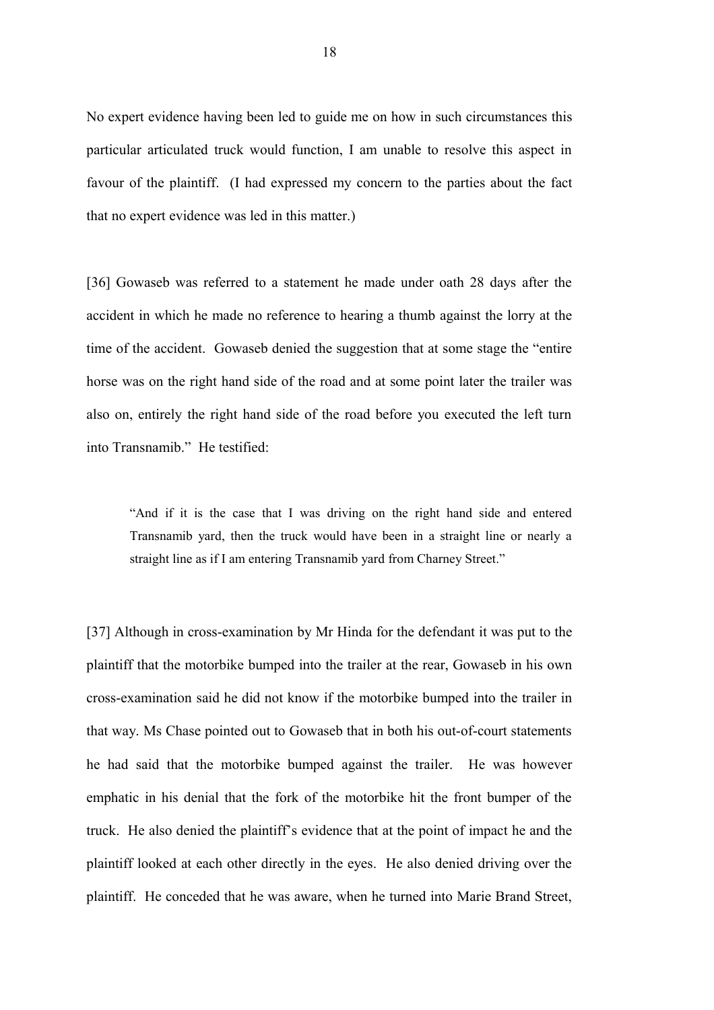No expert evidence having been led to guide me on how in such circumstances this particular articulated truck would function, I am unable to resolve this aspect in favour of the plaintiff. (I had expressed my concern to the parties about the fact that no expert evidence was led in this matter.)

[36] Gowaseb was referred to a statement he made under oath 28 days after the accident in which he made no reference to hearing a thumb against the lorry at the time of the accident. Gowaseb denied the suggestion that at some stage the "entire horse was on the right hand side of the road and at some point later the trailer was also on, entirely the right hand side of the road before you executed the left turn into Transnamib." He testified:

"And if it is the case that I was driving on the right hand side and entered Transnamib yard, then the truck would have been in a straight line or nearly a straight line as if I am entering Transnamib yard from Charney Street."

[37] Although in cross-examination by Mr Hinda for the defendant it was put to the plaintiff that the motorbike bumped into the trailer at the rear, Gowaseb in his own cross-examination said he did not know if the motorbike bumped into the trailer in that way. Ms Chase pointed out to Gowaseb that in both his out-of-court statements he had said that the motorbike bumped against the trailer. He was however emphatic in his denial that the fork of the motorbike hit the front bumper of the truck. He also denied the plaintiff's evidence that at the point of impact he and the plaintiff looked at each other directly in the eyes. He also denied driving over the plaintiff. He conceded that he was aware, when he turned into Marie Brand Street,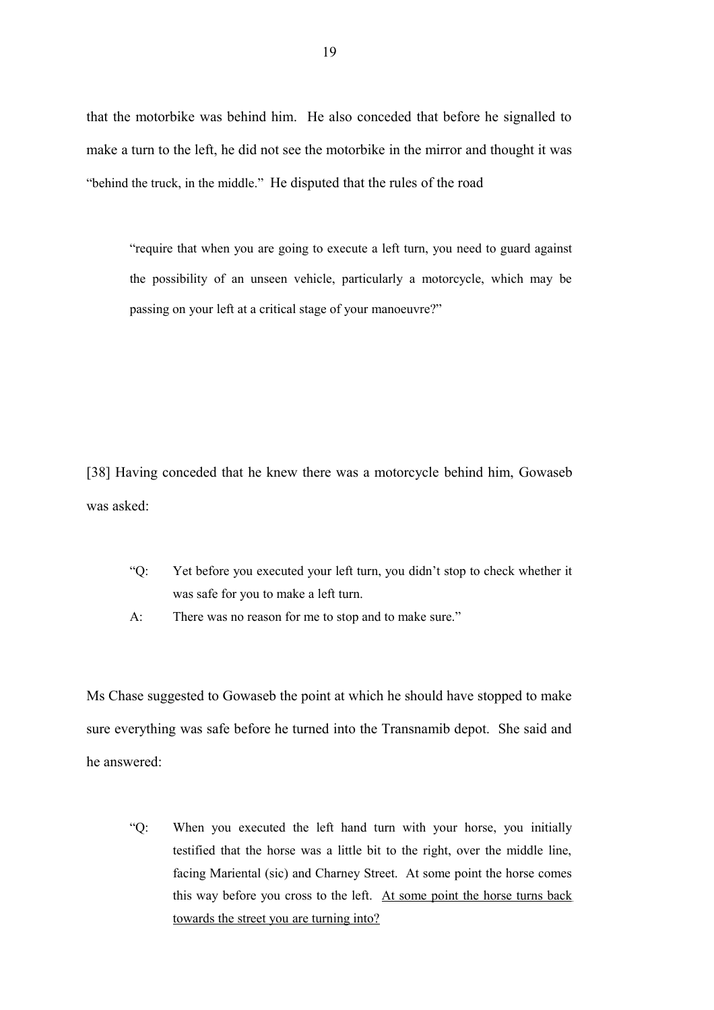that the motorbike was behind him. He also conceded that before he signalled to make a turn to the left, he did not see the motorbike in the mirror and thought it was "behind the truck, in the middle." He disputed that the rules of the road

"require that when you are going to execute a left turn, you need to guard against the possibility of an unseen vehicle, particularly a motorcycle, which may be passing on your left at a critical stage of your manoeuvre?"

[38] Having conceded that he knew there was a motorcycle behind him, Gowaseb was asked:

- "Q: Yet before you executed your left turn, you didn't stop to check whether it was safe for you to make a left turn.
- A: There was no reason for me to stop and to make sure."

Ms Chase suggested to Gowaseb the point at which he should have stopped to make sure everything was safe before he turned into the Transnamib depot. She said and he answered:

"Q: When you executed the left hand turn with your horse, you initially testified that the horse was a little bit to the right, over the middle line, facing Mariental (sic) and Charney Street. At some point the horse comes this way before you cross to the left. At some point the horse turns back towards the street you are turning into?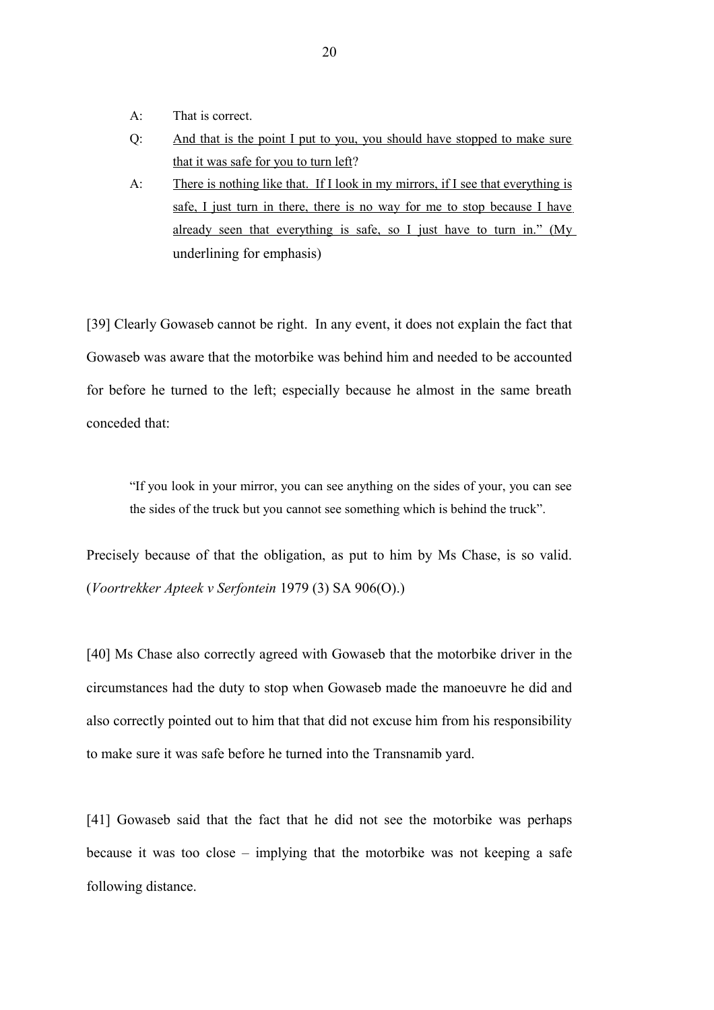- A: That is correct.
- Q: And that is the point I put to you, you should have stopped to make sure that it was safe for you to turn left?
- A: There is nothing like that. If I look in my mirrors, if I see that everything is safe, I just turn in there, there is no way for me to stop because I have already seen that everything is safe, so I just have to turn in." (My underlining for emphasis)

[39] Clearly Gowaseb cannot be right. In any event, it does not explain the fact that Gowaseb was aware that the motorbike was behind him and needed to be accounted for before he turned to the left; especially because he almost in the same breath conceded that:

"If you look in your mirror, you can see anything on the sides of your, you can see the sides of the truck but you cannot see something which is behind the truck".

Precisely because of that the obligation, as put to him by Ms Chase, is so valid. (*Voortrekker Apteek v Serfontein* 1979 (3) SA 906(O).)

[40] Ms Chase also correctly agreed with Gowaseb that the motorbike driver in the circumstances had the duty to stop when Gowaseb made the manoeuvre he did and also correctly pointed out to him that that did not excuse him from his responsibility to make sure it was safe before he turned into the Transnamib yard.

[41] Gowaseb said that the fact that he did not see the motorbike was perhaps because it was too close – implying that the motorbike was not keeping a safe following distance.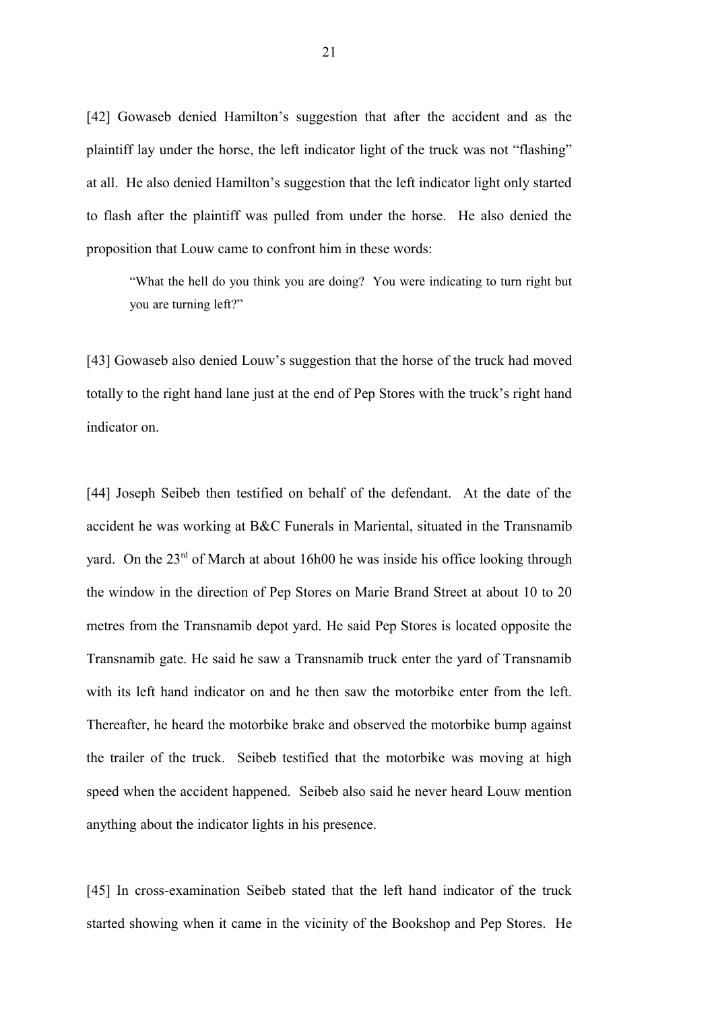[42] Gowaseb denied Hamilton's suggestion that after the accident and as the plaintiff lay under the horse, the left indicator light of the truck was not "flashing" at all. He also denied Hamilton's suggestion that the left indicator light only started to flash after the plaintiff was pulled from under the horse. He also denied the proposition that Louw came to confront him in these words:

"What the hell do you think you are doing? You were indicating to turn right but you are turning left?"

[43] Gowaseb also denied Louw's suggestion that the horse of the truck had moved totally to the right hand lane just at the end of Pep Stores with the truck's right hand indicator on.

[44] Joseph Seibeb then testified on behalf of the defendant. At the date of the accident he was working at B&C Funerals in Mariental, situated in the Transnamib yard. On the  $23<sup>rd</sup>$  of March at about 16h00 he was inside his office looking through the window in the direction of Pep Stores on Marie Brand Street at about 10 to 20 metres from the Transnamib depot yard. He said Pep Stores is located opposite the Transnamib gate. He said he saw a Transnamib truck enter the yard of Transnamib with its left hand indicator on and he then saw the motorbike enter from the left. Thereafter, he heard the motorbike brake and observed the motorbike bump against the trailer of the truck. Seibeb testified that the motorbike was moving at high speed when the accident happened. Seibeb also said he never heard Louw mention anything about the indicator lights in his presence.

[45] In cross-examination Seibeb stated that the left hand indicator of the truck started showing when it came in the vicinity of the Bookshop and Pep Stores. He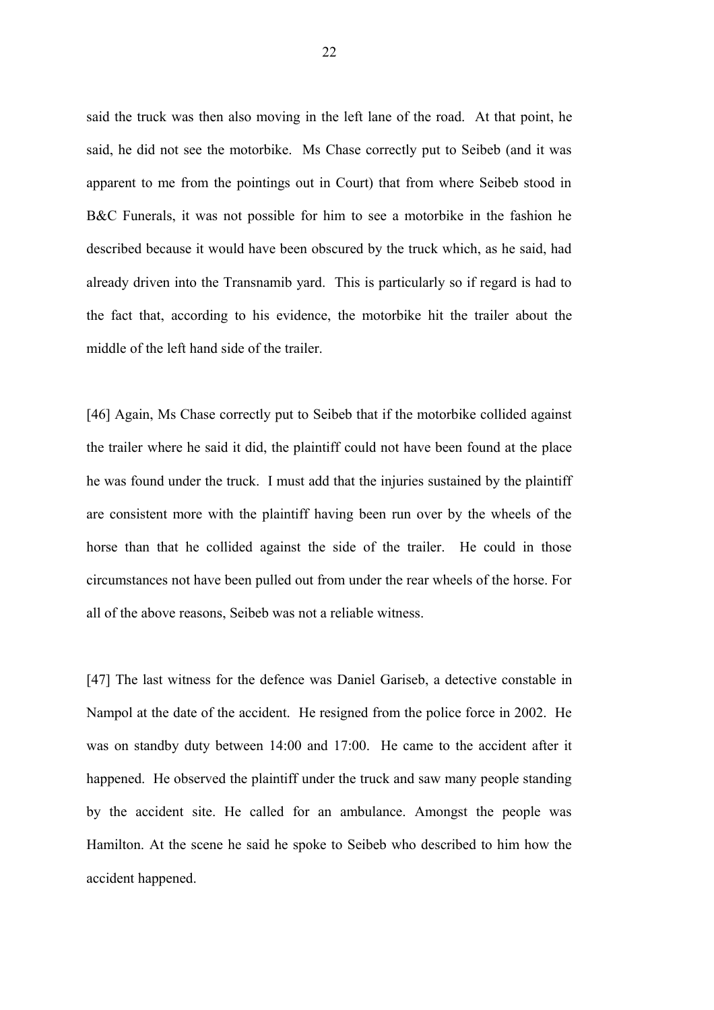said the truck was then also moving in the left lane of the road. At that point, he said, he did not see the motorbike. Ms Chase correctly put to Seibeb (and it was apparent to me from the pointings out in Court) that from where Seibeb stood in B&C Funerals, it was not possible for him to see a motorbike in the fashion he described because it would have been obscured by the truck which, as he said, had already driven into the Transnamib yard. This is particularly so if regard is had to the fact that, according to his evidence, the motorbike hit the trailer about the middle of the left hand side of the trailer.

[46] Again, Ms Chase correctly put to Seibeb that if the motorbike collided against the trailer where he said it did, the plaintiff could not have been found at the place he was found under the truck. I must add that the injuries sustained by the plaintiff are consistent more with the plaintiff having been run over by the wheels of the horse than that he collided against the side of the trailer. He could in those circumstances not have been pulled out from under the rear wheels of the horse. For all of the above reasons, Seibeb was not a reliable witness.

[47] The last witness for the defence was Daniel Gariseb, a detective constable in Nampol at the date of the accident. He resigned from the police force in 2002. He was on standby duty between 14:00 and 17:00. He came to the accident after it happened. He observed the plaintiff under the truck and saw many people standing by the accident site. He called for an ambulance. Amongst the people was Hamilton. At the scene he said he spoke to Seibeb who described to him how the accident happened.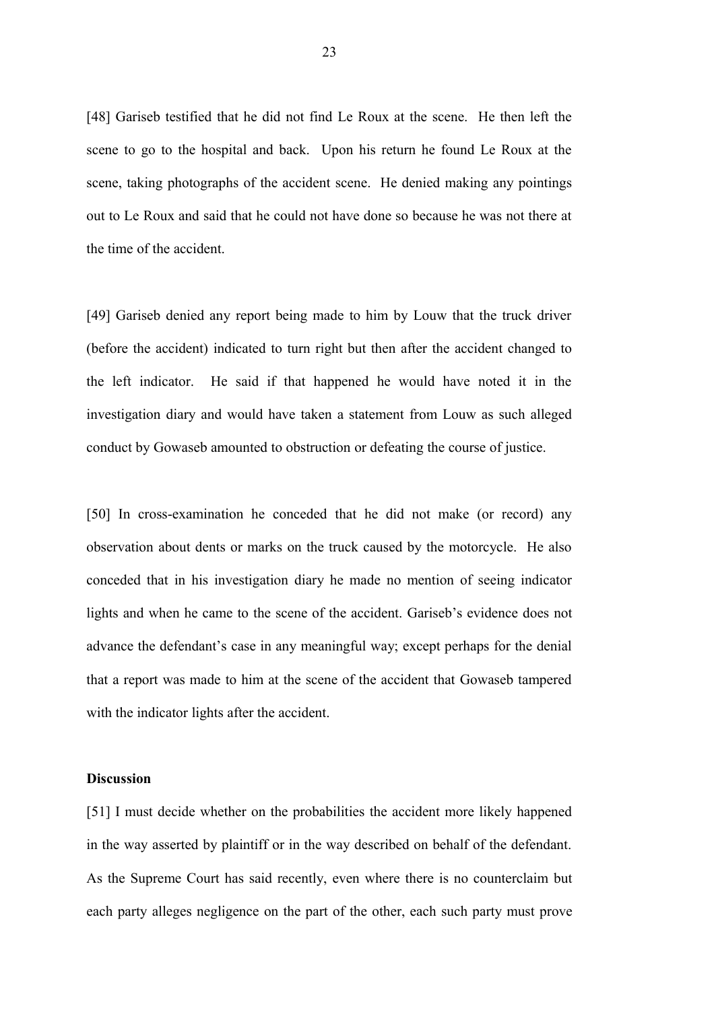[48] Gariseb testified that he did not find Le Roux at the scene. He then left the scene to go to the hospital and back. Upon his return he found Le Roux at the scene, taking photographs of the accident scene. He denied making any pointings out to Le Roux and said that he could not have done so because he was not there at the time of the accident.

[49] Gariseb denied any report being made to him by Louw that the truck driver (before the accident) indicated to turn right but then after the accident changed to the left indicator. He said if that happened he would have noted it in the investigation diary and would have taken a statement from Louw as such alleged conduct by Gowaseb amounted to obstruction or defeating the course of justice.

[50] In cross-examination he conceded that he did not make (or record) any observation about dents or marks on the truck caused by the motorcycle. He also conceded that in his investigation diary he made no mention of seeing indicator lights and when he came to the scene of the accident. Gariseb's evidence does not advance the defendant's case in any meaningful way; except perhaps for the denial that a report was made to him at the scene of the accident that Gowaseb tampered with the indicator lights after the accident.

#### **Discussion**

[51] I must decide whether on the probabilities the accident more likely happened in the way asserted by plaintiff or in the way described on behalf of the defendant. As the Supreme Court has said recently, even where there is no counterclaim but each party alleges negligence on the part of the other, each such party must prove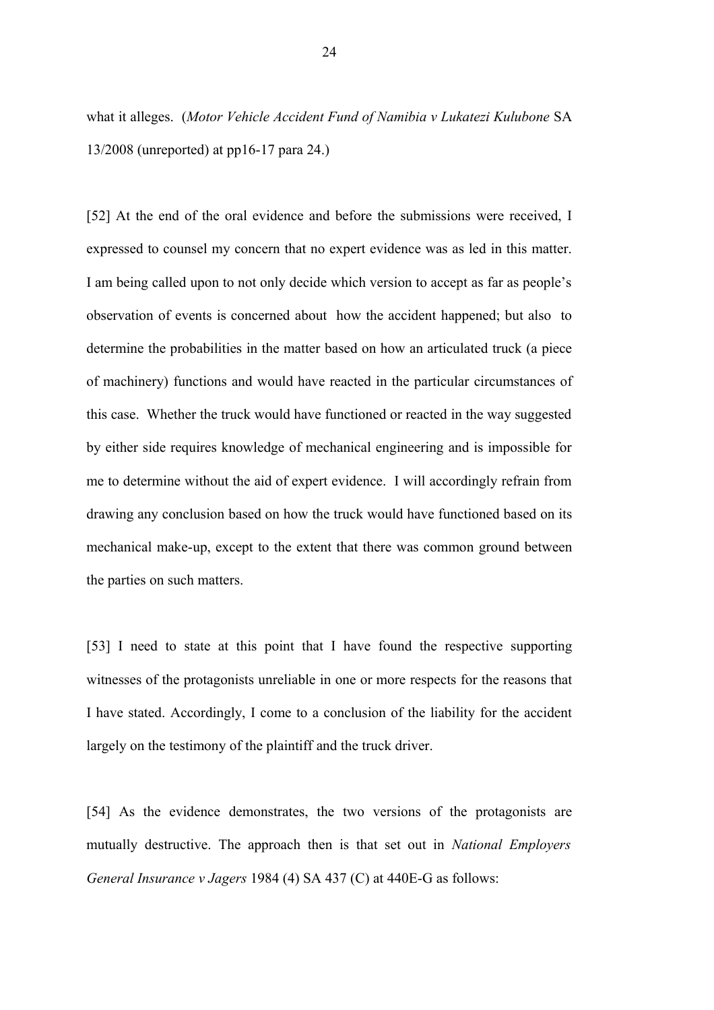what it alleges. (*Motor Vehicle Accident Fund of Namibia v Lukatezi Kulubone* SA 13/2008 (unreported) at pp16-17 para 24.)

[52] At the end of the oral evidence and before the submissions were received, I expressed to counsel my concern that no expert evidence was as led in this matter. I am being called upon to not only decide which version to accept as far as people's observation of events is concerned about how the accident happened; but also to determine the probabilities in the matter based on how an articulated truck (a piece of machinery) functions and would have reacted in the particular circumstances of this case. Whether the truck would have functioned or reacted in the way suggested by either side requires knowledge of mechanical engineering and is impossible for me to determine without the aid of expert evidence. I will accordingly refrain from drawing any conclusion based on how the truck would have functioned based on its mechanical make-up, except to the extent that there was common ground between the parties on such matters.

[53] I need to state at this point that I have found the respective supporting witnesses of the protagonists unreliable in one or more respects for the reasons that I have stated. Accordingly, I come to a conclusion of the liability for the accident largely on the testimony of the plaintiff and the truck driver.

[54] As the evidence demonstrates, the two versions of the protagonists are mutually destructive. The approach then is that set out in *National Employers General Insurance v Jagers* 1984 (4) SA 437 (C) at 440E-G as follows: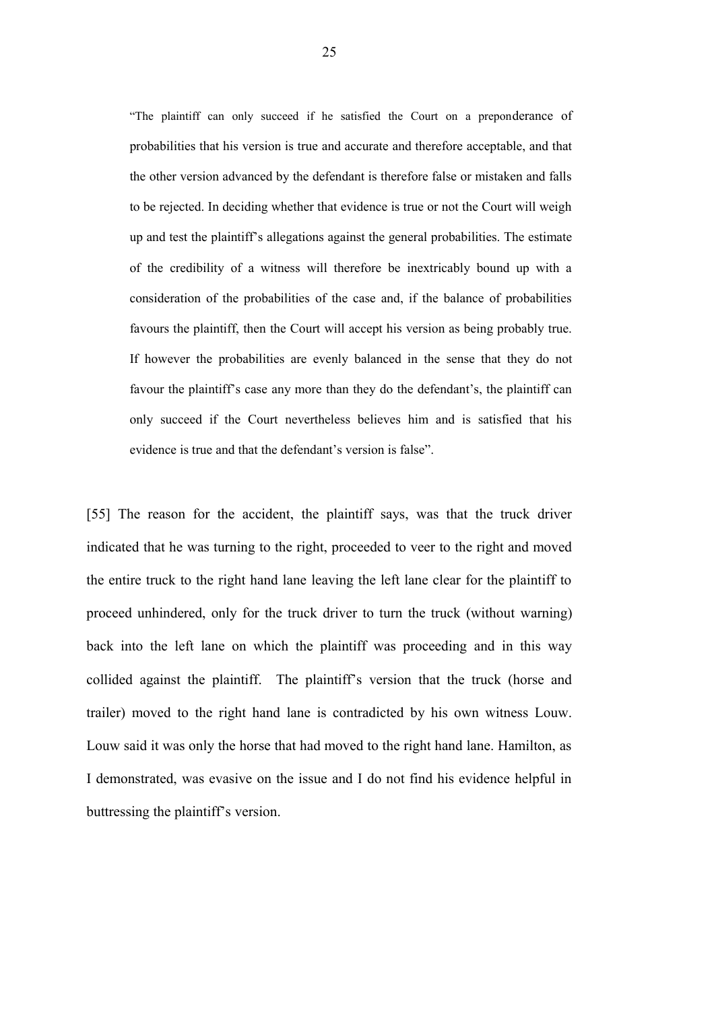"The plaintiff can only succeed if he satisfied the Court on a preponderance of probabilities that his version is true and accurate and therefore acceptable, and that the other version advanced by the defendant is therefore false or mistaken and falls to be rejected. In deciding whether that evidence is true or not the Court will weigh up and test the plaintiff's allegations against the general probabilities. The estimate of the credibility of a witness will therefore be inextricably bound up with a consideration of the probabilities of the case and, if the balance of probabilities favours the plaintiff, then the Court will accept his version as being probably true. If however the probabilities are evenly balanced in the sense that they do not favour the plaintiff's case any more than they do the defendant's, the plaintiff can only succeed if the Court nevertheless believes him and is satisfied that his evidence is true and that the defendant's version is false".

[55] The reason for the accident, the plaintiff says, was that the truck driver indicated that he was turning to the right, proceeded to veer to the right and moved the entire truck to the right hand lane leaving the left lane clear for the plaintiff to proceed unhindered, only for the truck driver to turn the truck (without warning) back into the left lane on which the plaintiff was proceeding and in this way collided against the plaintiff. The plaintiff's version that the truck (horse and trailer) moved to the right hand lane is contradicted by his own witness Louw. Louw said it was only the horse that had moved to the right hand lane. Hamilton, as I demonstrated, was evasive on the issue and I do not find his evidence helpful in buttressing the plaintiff's version.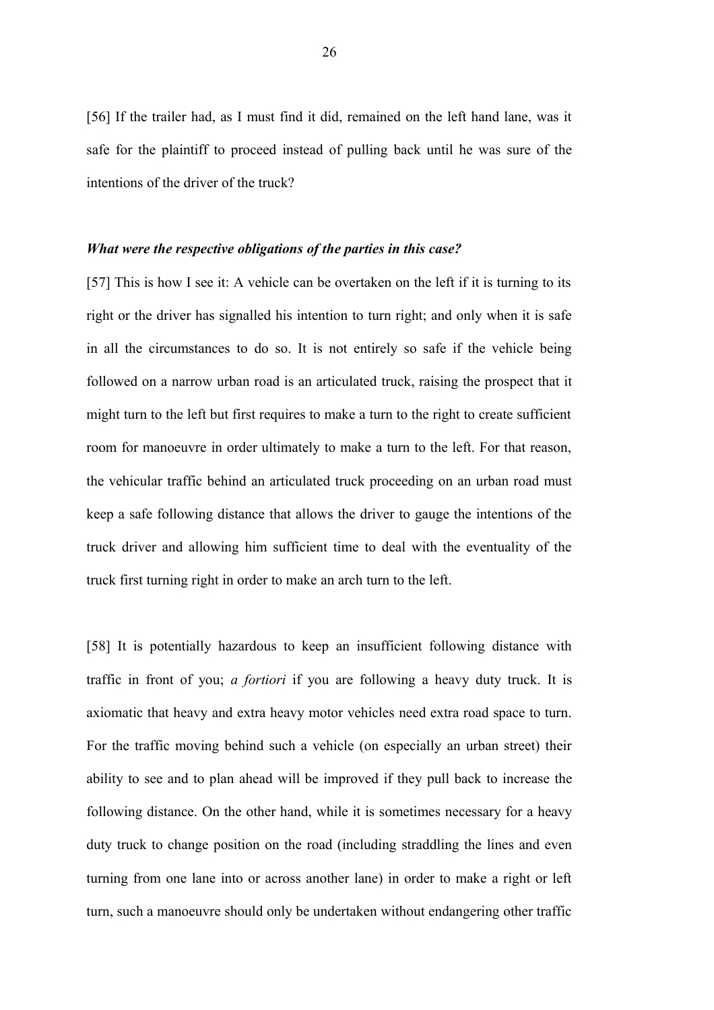[56] If the trailer had, as I must find it did, remained on the left hand lane, was it safe for the plaintiff to proceed instead of pulling back until he was sure of the intentions of the driver of the truck?

#### *What were the respective obligations of the parties in this case?*

[57] This is how I see it: A vehicle can be overtaken on the left if it is turning to its right or the driver has signalled his intention to turn right; and only when it is safe in all the circumstances to do so. It is not entirely so safe if the vehicle being followed on a narrow urban road is an articulated truck, raising the prospect that it might turn to the left but first requires to make a turn to the right to create sufficient room for manoeuvre in order ultimately to make a turn to the left. For that reason, the vehicular traffic behind an articulated truck proceeding on an urban road must keep a safe following distance that allows the driver to gauge the intentions of the truck driver and allowing him sufficient time to deal with the eventuality of the truck first turning right in order to make an arch turn to the left.

[58] It is potentially hazardous to keep an insufficient following distance with traffic in front of you; *a fortiori* if you are following a heavy duty truck. It is axiomatic that heavy and extra heavy motor vehicles need extra road space to turn. For the traffic moving behind such a vehicle (on especially an urban street) their ability to see and to plan ahead will be improved if they pull back to increase the following distance. On the other hand, while it is sometimes necessary for a heavy duty truck to change position on the road (including straddling the lines and even turning from one lane into or across another lane) in order to make a right or left turn, such a manoeuvre should only be undertaken without endangering other traffic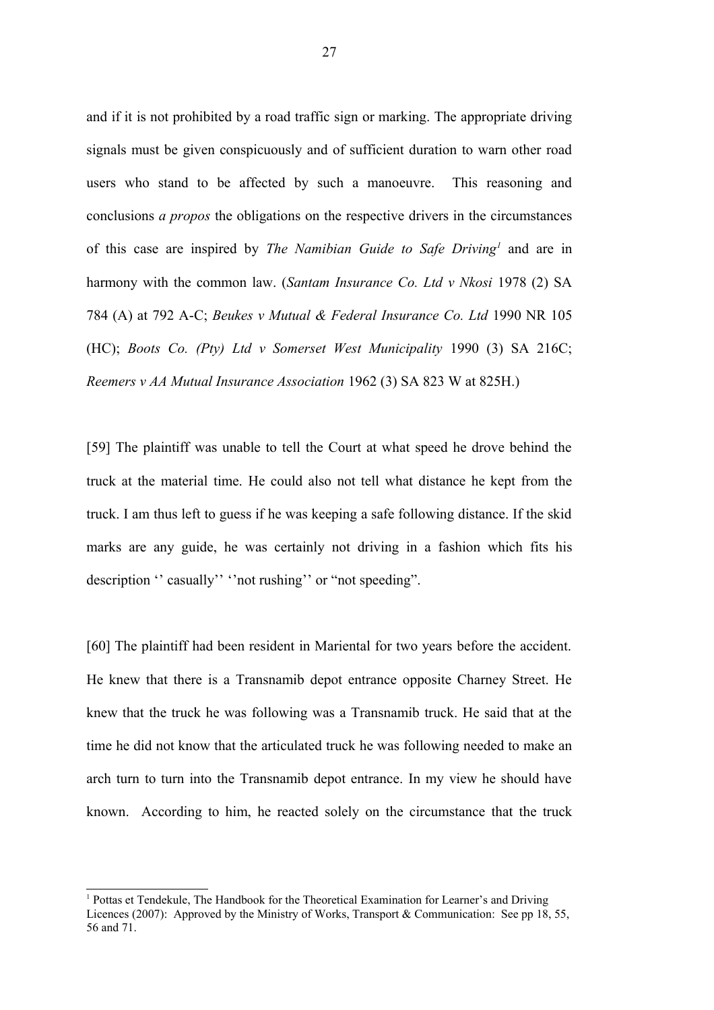and if it is not prohibited by a road traffic sign or marking. The appropriate driving signals must be given conspicuously and of sufficient duration to warn other road users who stand to be affected by such a manoeuvre. This reasoning and conclusions *a propos* the obligations on the respective drivers in the circumstances of this case are inspired by *The Namibian Guide to Safe Driving[1](#page-26-0)* and are in harmony with the common law. (*Santam Insurance Co. Ltd v Nkosi* 1978 (2) SA 784 (A) at 792 A-C; *Beukes v Mutual & Federal Insurance Co. Ltd* 1990 NR 105 (HC); *Boots Co. (Pty) Ltd v Somerset West Municipality* 1990 (3) SA 216C; *Reemers v AA Mutual Insurance Association* 1962 (3) SA 823 W at 825H.)

[59] The plaintiff was unable to tell the Court at what speed he drove behind the truck at the material time. He could also not tell what distance he kept from the truck. I am thus left to guess if he was keeping a safe following distance. If the skid marks are any guide, he was certainly not driving in a fashion which fits his description " casually" "not rushing" or "not speeding".

[60] The plaintiff had been resident in Mariental for two years before the accident. He knew that there is a Transnamib depot entrance opposite Charney Street. He knew that the truck he was following was a Transnamib truck. He said that at the time he did not know that the articulated truck he was following needed to make an arch turn to turn into the Transnamib depot entrance. In my view he should have known. According to him, he reacted solely on the circumstance that the truck

<span id="page-26-0"></span><sup>&</sup>lt;sup>1</sup> Pottas et Tendekule, The Handbook for the Theoretical Examination for Learner's and Driving Licences (2007): Approved by the Ministry of Works, Transport & Communication: See pp 18, 55, 56 and 71.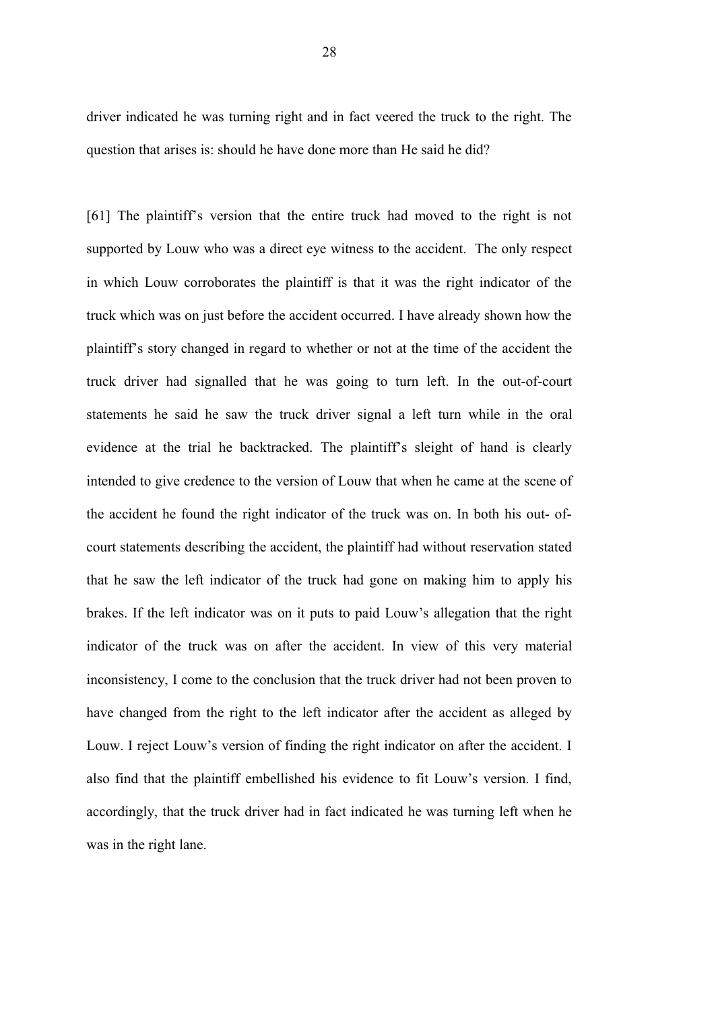driver indicated he was turning right and in fact veered the truck to the right. The question that arises is: should he have done more than He said he did?

[61] The plaintiff's version that the entire truck had moved to the right is not supported by Louw who was a direct eye witness to the accident. The only respect in which Louw corroborates the plaintiff is that it was the right indicator of the truck which was on just before the accident occurred. I have already shown how the plaintiff's story changed in regard to whether or not at the time of the accident the truck driver had signalled that he was going to turn left. In the out-of-court statements he said he saw the truck driver signal a left turn while in the oral evidence at the trial he backtracked. The plaintiff's sleight of hand is clearly intended to give credence to the version of Louw that when he came at the scene of the accident he found the right indicator of the truck was on. In both his out- ofcourt statements describing the accident, the plaintiff had without reservation stated that he saw the left indicator of the truck had gone on making him to apply his brakes. If the left indicator was on it puts to paid Louw's allegation that the right indicator of the truck was on after the accident. In view of this very material inconsistency, I come to the conclusion that the truck driver had not been proven to have changed from the right to the left indicator after the accident as alleged by Louw. I reject Louw's version of finding the right indicator on after the accident. I also find that the plaintiff embellished his evidence to fit Louw's version. I find, accordingly, that the truck driver had in fact indicated he was turning left when he was in the right lane.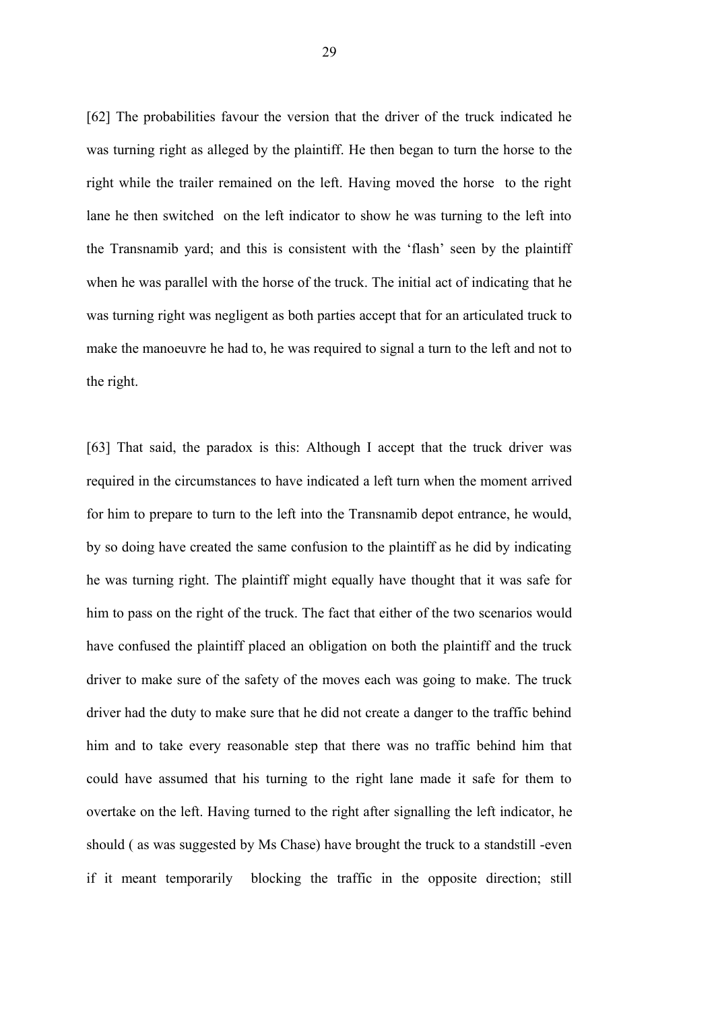[62] The probabilities favour the version that the driver of the truck indicated he was turning right as alleged by the plaintiff. He then began to turn the horse to the right while the trailer remained on the left. Having moved the horse to the right lane he then switched on the left indicator to show he was turning to the left into the Transnamib yard; and this is consistent with the 'flash' seen by the plaintiff when he was parallel with the horse of the truck. The initial act of indicating that he was turning right was negligent as both parties accept that for an articulated truck to make the manoeuvre he had to, he was required to signal a turn to the left and not to the right.

[63] That said, the paradox is this: Although I accept that the truck driver was required in the circumstances to have indicated a left turn when the moment arrived for him to prepare to turn to the left into the Transnamib depot entrance, he would, by so doing have created the same confusion to the plaintiff as he did by indicating he was turning right. The plaintiff might equally have thought that it was safe for him to pass on the right of the truck. The fact that either of the two scenarios would have confused the plaintiff placed an obligation on both the plaintiff and the truck driver to make sure of the safety of the moves each was going to make. The truck driver had the duty to make sure that he did not create a danger to the traffic behind him and to take every reasonable step that there was no traffic behind him that could have assumed that his turning to the right lane made it safe for them to overtake on the left. Having turned to the right after signalling the left indicator, he should ( as was suggested by Ms Chase) have brought the truck to a standstill -even if it meant temporarily blocking the traffic in the opposite direction; still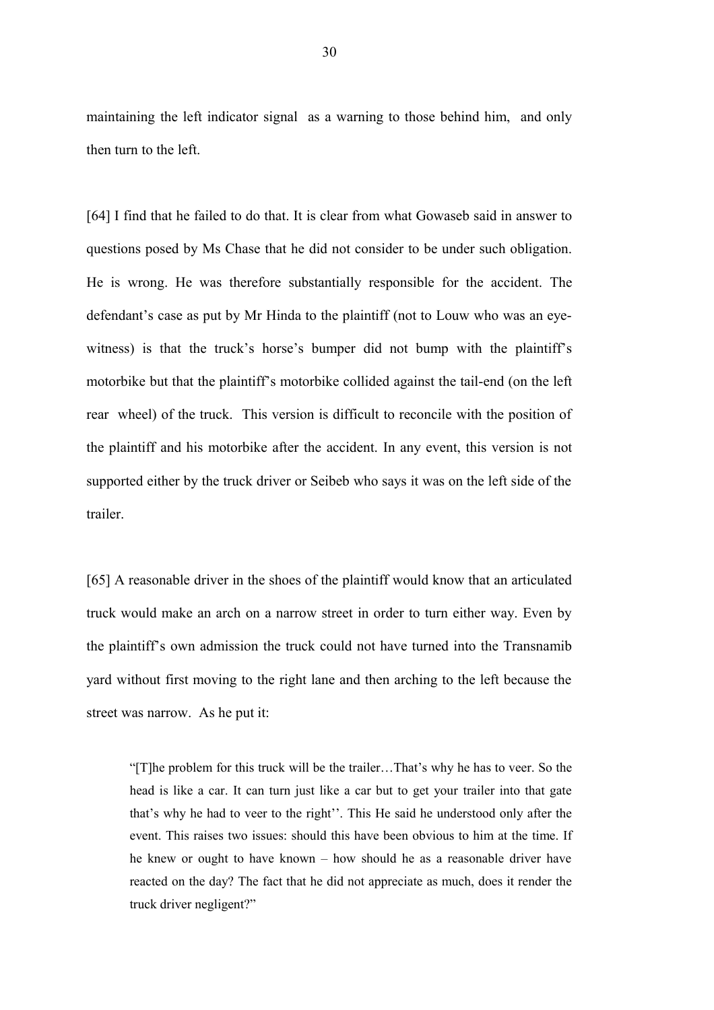maintaining the left indicator signal as a warning to those behind him, and only then turn to the left.

[64] I find that he failed to do that. It is clear from what Gowaseb said in answer to questions posed by Ms Chase that he did not consider to be under such obligation. He is wrong. He was therefore substantially responsible for the accident. The defendant's case as put by Mr Hinda to the plaintiff (not to Louw who was an eyewitness) is that the truck's horse's bumper did not bump with the plaintiff's motorbike but that the plaintiff's motorbike collided against the tail-end (on the left rear wheel) of the truck. This version is difficult to reconcile with the position of the plaintiff and his motorbike after the accident. In any event, this version is not supported either by the truck driver or Seibeb who says it was on the left side of the trailer.

[65] A reasonable driver in the shoes of the plaintiff would know that an articulated truck would make an arch on a narrow street in order to turn either way. Even by the plaintiff's own admission the truck could not have turned into the Transnamib yard without first moving to the right lane and then arching to the left because the street was narrow. As he put it:

"[T]he problem for this truck will be the trailer…That's why he has to veer. So the head is like a car. It can turn just like a car but to get your trailer into that gate that's why he had to veer to the right''. This He said he understood only after the event. This raises two issues: should this have been obvious to him at the time. If he knew or ought to have known – how should he as a reasonable driver have reacted on the day? The fact that he did not appreciate as much, does it render the truck driver negligent?"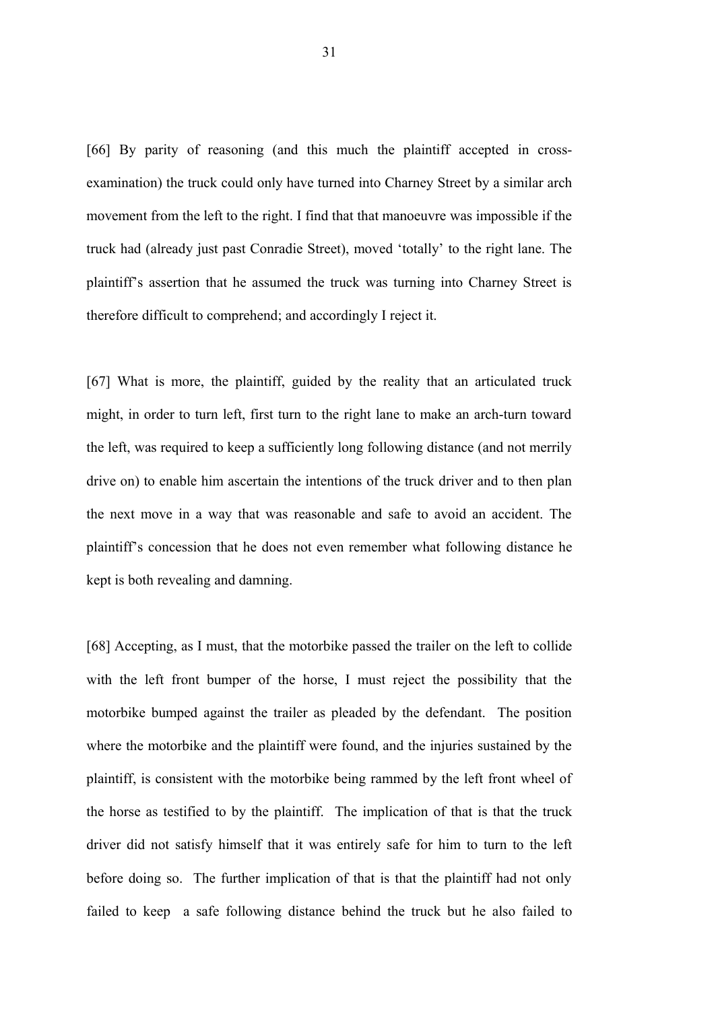[66] By parity of reasoning (and this much the plaintiff accepted in crossexamination) the truck could only have turned into Charney Street by a similar arch movement from the left to the right. I find that that manoeuvre was impossible if the truck had (already just past Conradie Street), moved 'totally' to the right lane. The plaintiff's assertion that he assumed the truck was turning into Charney Street is therefore difficult to comprehend; and accordingly I reject it.

[67] What is more, the plaintiff, guided by the reality that an articulated truck might, in order to turn left, first turn to the right lane to make an arch-turn toward the left, was required to keep a sufficiently long following distance (and not merrily drive on) to enable him ascertain the intentions of the truck driver and to then plan the next move in a way that was reasonable and safe to avoid an accident. The plaintiff's concession that he does not even remember what following distance he kept is both revealing and damning.

[68] Accepting, as I must, that the motorbike passed the trailer on the left to collide with the left front bumper of the horse, I must reject the possibility that the motorbike bumped against the trailer as pleaded by the defendant. The position where the motorbike and the plaintiff were found, and the injuries sustained by the plaintiff, is consistent with the motorbike being rammed by the left front wheel of the horse as testified to by the plaintiff. The implication of that is that the truck driver did not satisfy himself that it was entirely safe for him to turn to the left before doing so. The further implication of that is that the plaintiff had not only failed to keep a safe following distance behind the truck but he also failed to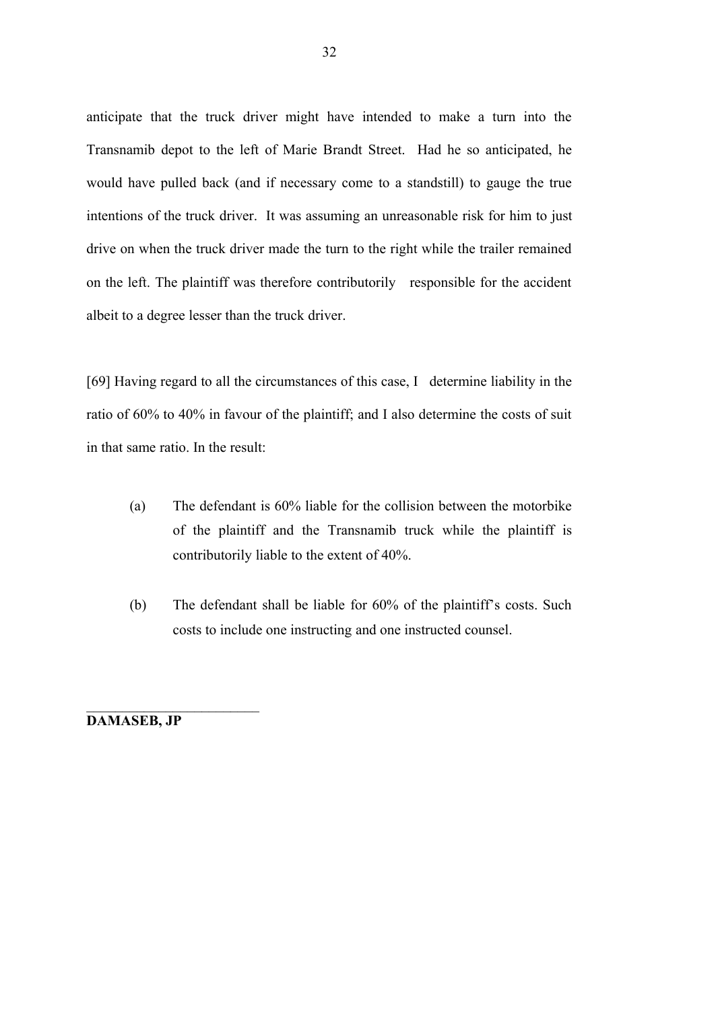anticipate that the truck driver might have intended to make a turn into the Transnamib depot to the left of Marie Brandt Street. Had he so anticipated, he would have pulled back (and if necessary come to a standstill) to gauge the true intentions of the truck driver. It was assuming an unreasonable risk for him to just drive on when the truck driver made the turn to the right while the trailer remained on the left. The plaintiff was therefore contributorily responsible for the accident albeit to a degree lesser than the truck driver.

[69] Having regard to all the circumstances of this case, I determine liability in the ratio of 60% to 40% in favour of the plaintiff; and I also determine the costs of suit in that same ratio. In the result:

- (a) The defendant is 60% liable for the collision between the motorbike of the plaintiff and the Transnamib truck while the plaintiff is contributorily liable to the extent of 40%.
- (b) The defendant shall be liable for 60% of the plaintiff's costs. Such costs to include one instructing and one instructed counsel.

**DAMASEB, JP**

 $\mathcal{L}_\text{max}$